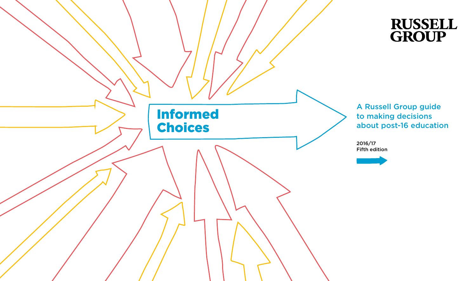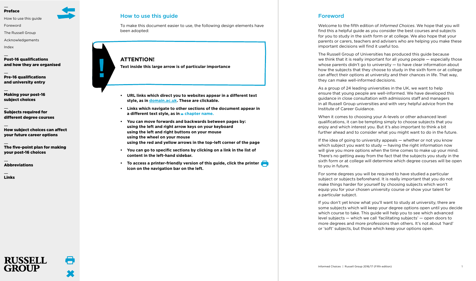<span id="page-1-2"></span>[How to use this guide](#page-1-0)

[Foreword](#page-1-1)

[The Russell Group](#page-2-0)

[Acknowledgements](#page-3-0)

[Index](#page-4-0)

[Post-16 qualifications](#page-5-0) [and how they are organised](#page-5-0)

[Pre-16 qualifications](#page-12-0)  [and university entry](#page-12-0)

[Making your post-16](#page-14-0)  [subject choices](#page-14-0)

[Subjects required for](#page-20-0)  [different degree courses](#page-20-0)

[How subject choices can affect](#page-27-0)  [your future career options](#page-27-0)

[The five-point plan for making](#page-29-0)  [your post-16 choices](#page-29-0)

[Abbreviations](#page-30-0)

**RUSSELL** 

[Links](#page-31-0)

## <span id="page-1-0"></span>How to use this guide

 $\mathcal{C}^{\mathcal{A}}$ 

To make this document easier to use, the following design elements have been adopted:

**ATTENTION! Text inside this large arrow is of particular importance**

- **• URL links which direct you to websites appear in a different text style, as in domain.ac.uk. These are clickable.**
- **• Links which navigate to other sections of the document appear in a different text style, as in chapter name.**
- **• You can move forwards and backwards between pages by: using the left and right arrow keys on your keyboard using the left and right buttons on your mouse using the wheel on your mouse using the red and yellow arrows in the top-left corner of the page**
- **• You can go to specific sections by clicking on a link in the list of content in the left-hand sidebar.**
- **• To access a printer-friendly version of this guide, click the printer icon on the navigation bar on the left.**

## <span id="page-1-1"></span>Foreword

Welcome to the fifth edition of *Informed Choices*. We hope that you will find this a helpful guide as you consider the best courses and subjects for you to study in the sixth form or at college. We also hope that your parents or carers, teachers and advisers who are helping you make these important decisions will find it useful too.

The Russell Group of Universities has produced this guide because we think that it is really important for all young people — especially those whose parents didn't go to university — to have clear information about how the subjects that they choose to study in the sixth form or at college can affect their options at university and their chances in life. That way, they can make well-informed decisions.

As a group of 24 leading universities in the UK, we want to help ensure that young people are well-informed. We have developed this guidance in close consultation with admissions staff and managers in all Russell Group universities and with very helpful advice from the Institute of Career Guidance.

When it comes to choosing your A-levels or other advanced level qualifications, it can be tempting simply to choose subjects that you enjoy and which interest you. But it's also important to think a bit further ahead and to consider what you might want to do in the future.

If the idea of going to university appeals — whether or not you know which subject you want to study — having the right information now will give you more options when the time comes to make up your mind. There's no getting away from the fact that the subjects you study in the sixth form or at college will determine which degree courses will be open to you in future.

For some degrees you will be required to have studied a particular subject or subjects beforehand. It is really important that you do not make things harder for yourself by choosing subjects which won't equip you for your chosen university course or show your talent for a particular subject.

If you don't yet know what you'll want to study at university, there are some subjects which will keep your degree options open until you decide which course to take. This guide will help you to see which advanced level subjects — which we call 'facilitating subjects' — open doors to more degrees and more professions than others. It's not about 'hard' or 'soft' subjects, but those which keep your options open.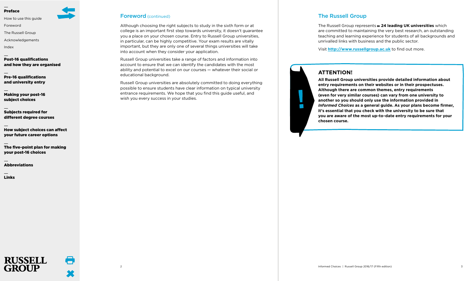[How to use this guide](#page-1-0)

[Foreword](#page-1-1)

[The Russell Group](#page-2-0)

[Acknowledgements](#page-3-0)

[Index](#page-4-0)

[Post-16 qualifications](#page-5-0) [and how they are organised](#page-5-0)

[Pre-16 qualifications](#page-12-0)  [and university entry](#page-12-0)

[Making your post-16](#page-14-0)  [subject choices](#page-14-0)

[Subjects required for](#page-20-0)  [different degree courses](#page-20-0)

[How subject choices can affect](#page-27-0)  [your future career options](#page-27-0)

[The five-point plan for making](#page-29-0)  [your post-16 choices](#page-29-0)

[Abbreviations](#page-30-0)

**RUSSELL** 

[Links](#page-31-0)

## Foreword (continued)

Although choosing the right subjects to study in the sixth form or at college is an important first step towards university, it doesn't guarantee you a place on your chosen course. Entry to Russell Group universities, in particular, can be highly competitive. Your exam results are vitally important, but they are only one of several things universities will take into account when they consider your application.

Russell Group universities take a range of factors and information into account to ensure that we can identify the candidates with the most ability and potential to excel on our courses — whatever their social or educational background.

Russell Group universities are absolutely committed to doing everything possible to ensure students have clear information on typical university entrance requirements. We hope that you find this guide useful, and wish you every success in your studies.

## <span id="page-2-0"></span>The Russell Group

The Russell Group represents **24 leading UK universities** which are committed to maintaining the very best research, an outstanding teaching and learning experience for students of all backgrounds and unrivalled links with business and the public sector.

Visit **http://www.russellgroup.ac.uk** to find out more.

## **ATTENTION!**

 $\mathcal{L}^{\text{max}}$ 

**All Russell Group universities provide detailed information about entry requirements on their websites or in their prospectuses. Although there are common themes, entry requirements (even for very similar courses) can vary from one university to another so you should only use the information provided in** *Informed Choices* **as a general guide. As your plans become firmer, it's essential that you check with the university to be sure that you are aware of the most up-to-date entry requirements for your chosen course.**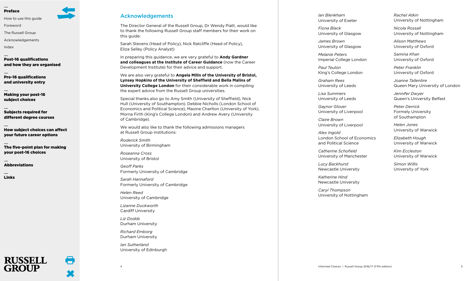[How to use this guide](#page-1-0)

[Foreword](#page-1-1)

[The Russell Group](#page-2-0)

[Acknowledgements](#page-3-0)

[Index](#page-4-0)

[Post-16 qualifications](#page-5-0) [and how they are organised](#page-5-0)

[Pre-16 qualifications](#page-12-0)  [and university entry](#page-12-0)

[Making your post-16](#page-14-0)  [subject choices](#page-14-0)

[Subjects required for](#page-20-0)  [different degree courses](#page-20-0)

[How subject choices can affect](#page-27-0)  [your future career options](#page-27-0)

[The five-point plan for making](#page-29-0)  [your post-16 choices](#page-29-0)

[Abbreviations](#page-30-0)

RUSSELL

 $\blacksquare$ 

[Links](#page-31-0)

## <span id="page-3-0"></span>Acknowledgements

The Director General of the Russell Group, Dr Wendy Piatt, would like to thank the following Russell Group staff members for their work on this guide:

Sarah Stevens (Head of Policy), Nick Ratcliffe (Head of Policy), Eliza Selley (Policy Analyst)

In preparing this guidance, we are very grateful to **Andy Gardner and colleagues at the Institute of Career Guidance** (now the Career Development Institute) for their advice and support.

We are also very grateful to **Angela Milln of the University of Bristol, Lynsey Hopkins of the University of Sheffield and Bella Malins of University College London** for their considerable work in compiling the expert advice from the Russell Group universities.

Special thanks also go to Amy Smith (University of Sheffield), Nick Hull (University of Southampton), Debbie Nicholls (London School of Economics and Political Science), Maxine Charlton (University of York), Morna Firth (King's College London) and Andrew Avery (University of Cambridge).

We would also like to thank the following admissions managers at Russell Group institutions:

*Roderick Smith* University of Birmingham

*Roseanna Cross* University of Bristol

*Geoff Parks* Formerly University of Cambridge

*Sarah Hannaford* Formerly University of Cambridge

*Helen Reed* University of Cambridge

*Lizanne Duckworth* Cardiff University

*Liz Dodds* Durham University

*Richard Emborg* Durham University

*Ian Sutherland* University of Edinburgh *Ian Blenkharn* University of Exeter

*Fiona Black* University of Glasgow

*James Brown* University of Glasgow

*Melanie Peters* Imperial College London

*Paul Teulon* King's College London

*Graham Rees* University of Leeds

*Lisa Summers* University of Leeds

*Gaynor Glover* University of Liverpool

*Claire Brown* University of Liverpool

*Alex Ingold* London School of Economics and Political Science

*Catherine Schofield* University of Manchester

*Lucy Backhurst* Newcastle University

*Katherine Hind* Newcastle University

*Caryl Thompson* University of Nottingham *Rachel Atkin* University of Nottingham

*Nicola Rossall* University of Nottingham

*Alison Matthews*  University of Oxford

*Samina Khan* University of Oxford

*Peter Franklin* University of Oxford

*Joanne Tallentire* Queen Mary University of London

*Jennifer Dwyer* Queen's University Belfast

*Peter Derrick* Formely University of Southampton

*Helen Jones* University of Warwick

*Elizabeth Hough* University of Warwick

*Kim Eccleston* University of Warwick

*Simon Willis* University of York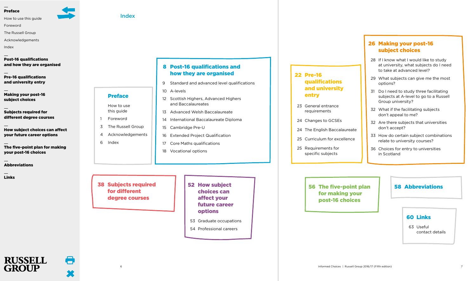[How to use this guide](#page-1-0)

[Foreword](#page-1-1)

[The Russell Group](#page-2-0)

[Acknowledgements](#page-3-0)

[Index](#page-4-0)

[Post-16 qualifications](#page-5-0) [and how they are organised](#page-5-0)

[Pre-16 qualifications](#page-12-0)  [and university entry](#page-12-0)

[Making your post-16](#page-14-0)  [subject choices](#page-14-0)

[Subjects required for](#page-20-0)  [different degree courses](#page-20-0)

[How subject choices can affect](#page-27-0)  [your future career options](#page-27-0)

[The five-point plan for making](#page-29-0)  [your post-16 choices](#page-29-0)

[Abbreviations](#page-30-0)

**RUSSELL** 

**GROUP** 

œ

[Links](#page-31-0)

## 8 [Post-16 qualifications and](#page-5-0) [how they are organised](#page-5-0)

- 9 [Standard and advanced level qualifications](#page-5-1)
- 10 [A-levels](#page-6-0)
- [12 Scottish Highers, Advanced Highers](#page-7-0) [and Baccalaureates](#page-7-0)
- 13 [Advanced Welsh Baccalaureate](#page-7-1)
- 14 [International Baccalaureate Diploma](#page-8-0)
- 15 [Cambridge Pre-U](#page-8-1)
- 16 [Extended Project Qualification](#page-9-0)
- 17 [Core Maths qualifications](#page-9-1)
- 18 [Vocational options](#page-10-0)

[38 Subjects required](#page-20-0) [for different](#page-20-0)  [degree courses](#page-20-0)

<span id="page-4-0"></span>Index

[Preface](#page-1-2)

[How to use](#page-1-0)  this quide 1 [Foreword](#page-1-1)

 [3 The Russell Group](#page-2-0)  [4 Acknowledgements](#page-3-0)

[6 Index](#page-4-0)

## [52 How subject](#page-27-0) [choices can](#page-27-0) [affect your](#page-27-0) [future career](#page-27-0) [options](#page-27-0) 53 [Graduate occupations](#page-27-1)

54 [Professional careers](#page-28-0)

## [22 Pre-16](#page-12-0) [qualifications](#page-12-0) [and university](#page-12-0) [entry](#page-12-0)

- 23 [General entrance](#page-12-1) [requirements](#page-12-1)
- 24 [Changes to GCSEs](#page-13-0)
- 24 [The English Baccalaureate](#page-13-1)
- 25 [Curriculum for excellence](#page-13-2)
- 25 [Requirements for](#page-13-3)  [specific subjects](#page-13-3)

## [26 Making your post-16](#page-14-0) [subject choices](#page-14-0)

- [28 If I know what I would like to study](#page-15-0) [at university, what subjects do I need](#page-15-0) [to take at advanced level?](#page-15-0)
- [29 What subjects can give me the most](#page-15-1) [options?](#page-15-1)
- [31 Do I need to study three facilitating](#page-16-0) [subjects at A-level to go to a Russell](#page-16-0) [Group university?](#page-16-0)
- 32 What if the facilitating subjects don't appeal to me?
- 32 Are there subjects that universities don't accept?
- [33 How do certain subject combinations](#page-17-0) [relate to university courses?](#page-17-0)
- [36 Choices for entry to universities](#page-19-0) [in Scotland](#page-19-0)

## [56 The five-point plan](#page-29-0) | [58 Abbreviations](#page-30-0) [for making your](#page-29-0) [post-16 choices](#page-29-0)

## [60 Links](#page-31-0)

 [63 Useful](#page-32-0) [contact details](#page-32-0)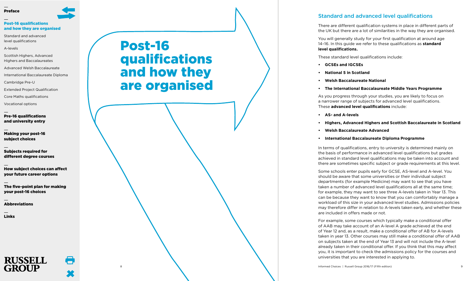## [Post-16 qualifications](#page-5-0) [and how they are organised](#page-5-0)

[Standard and advanced](#page-5-1)  [level qualifications](#page-5-1)

[A-levels](#page-6-0)

[Scottish Highers, Advanced](#page-7-0)  [Highers and Baccalaureates](#page-7-0)

[Advanced Welsh Baccalaureate](#page-7-1)

[International Baccalaureate Diploma](#page-8-0)

[Cambridge Pre-U](#page-8-1)

[Extended Project Qualification](#page-9-0)

[Core Maths qualifications](#page-9-1)

[Vocational options](#page-10-0)

[Pre-16 qualifications](#page-12-0)  [and university entry](#page-12-0)

[Making your post-16](#page-14-0)  [subject choices](#page-14-0)

[Subjects required for](#page-20-0)  [different degree courses](#page-20-0)

[How subject choices can affect](#page-27-0)  [your future career options](#page-27-0)

[The five-point plan for making](#page-29-0)  [your post-16 choices](#page-29-0)

[Abbreviations](#page-30-0)

[Links](#page-31-0)



# <span id="page-5-0"></span>Post-16 qualifications and how they are organised

## <span id="page-5-1"></span>Standard and advanced level qualifications

There are different qualification systems in place in different parts of the UK but there are a lot of similarities in the way they are organised.

You will generally study for your first qualification at around age 14–16. In this guide we refer to these qualifications as **standard level qualifications.**

These standard level qualifications include:

- **• GCSEs and IGCSEs**
- **• National 5 in Scotland**
- **• Welsh Baccalaureate National**
- **• The International Baccalaureate Middle Years Programme**

As you progress through your studies, you are likely to focus on a narrower range of subjects for advanced level qualifications. These **advanced level qualifications** include:

- **• AS- and A-levels**
- **• Highers, Advanced Highers and Scottish Baccalaureate in Scotland**
- **• Welsh Baccalaureate Advanced**
- **• International Baccalaureate Diploma Programme**

In terms of qualifications, entry to university is determined mainly on the basis of performance in advanced level qualifications but grades achieved in standard level qualifications may be taken into account and there are sometimes specific subject or grade requirements at this level.

Some schools enter pupils early for GCSE, AS-level and A-level. You should be aware that some universities or their individual subject departments (for example Medicine) may want to see that you have taken a number of advanced level qualifications all at the same time; for example, they may want to see three A-levels taken in Year 13. This can be because they want to know that you can comfortably manage a workload of this size in your advanced level studies. Admissions policies may therefore differ in relation to A-levels taken early, and whether these are included in offers made or not.

For example, some courses which typically make a conditional offer of AAB may take account of an A-level A grade achieved at the end of Year 12 and, as a result, make a conditional offer of AB for A-levels taken in year 13. Other courses may still make a conditional offer of AAB on subjects taken at the end of Year 13 and will not include the A-level already taken in their conditional offer. If you think that this may affect you, it is important to check the admissions policy for the courses and universities that you are interested in applying to.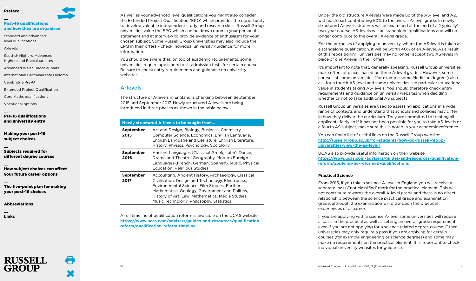## [Post-16 qualifications](#page-5-0) [and how they are organised](#page-5-0)

- [Standard and advanced](#page-5-1)  [level qualifications](#page-5-1)
- [A-levels](#page-6-0)
- [Scottish Highers, Advanced](#page-7-0)  [Highers and Baccalaureates](#page-7-0)
- [Advanced Welsh Baccalaureate](#page-7-1)
- [International Baccalaureate Diploma](#page-8-0)
- [Cambridge Pre-U](#page-8-1)
- [Extended Project Qualification](#page-9-0)
- [Core Maths qualifications](#page-9-1)
- [Vocational options](#page-10-0)
- [Pre-16 qualifications](#page-12-0)  [and university entry](#page-12-0)
- [Making your post-16](#page-14-0)  [subject choices](#page-14-0)
- [Subjects required for](#page-20-0)  [different degree courses](#page-20-0)
- [How subject choices can affect](#page-27-0)  [your future career options](#page-27-0)
- [The five-point plan for making](#page-29-0)  [your post-16 choices](#page-29-0)
- [Abbreviations](#page-30-0)
- [Links](#page-31-0)



As well as your advanced level qualifications you might also consider the Extended Project Qualification (EPQ) which provides the opportunity to develop valuable independent study and research skills. Russell Group universities value the EPQ which can be drawn upon in your personal statement and at interview to provide evidence of enthusiasm for your chosen subject. Some Russell Group universities may also include the EPQ in their offers – check individual university guidance for more information.

You should be aware that, on top of academic requirements, some universities require applicants to sit admission tests for certain courses Be sure to check entry requirements and guidance on university websites.

## <span id="page-6-0"></span>A-levels

The structure of A-levels in England is changing between September 2015 and September 2017. Newly structured A-levels are being introduced in three phases as shown in the table below:

## **Newly structured A-levels to be taught from…**

| September<br>2015 | Art and Design, Biology, Business, Chemistry,<br>Computer Science, Economics, English Language,<br>English Language and Literature, English Literature,<br>History, Physics, Psychology, Sociology                                                                                                         |
|-------------------|------------------------------------------------------------------------------------------------------------------------------------------------------------------------------------------------------------------------------------------------------------------------------------------------------------|
| September<br>2016 | Ancient Languages (Classical Greek, Latin), Dance,<br>Drama and Theatre, Geography, Modern Foreign<br>Languages (French, German, Spanish), Music, Physical<br><b>Education, Religious Studies</b>                                                                                                          |
| September<br>2017 | Accounting, Ancient History, Archaeology, Classical<br>Civilisation, Design and Technology, Electronics,<br>Environmental Science, Film Studies, Further<br>Mathematics, Geology, Government and Politics,<br>History of Art, Law, Mathematics, Media Studies,<br>Music Technology, Philosophy, Statistics |

A full timeline of qualification reform is available on the UCAS website: **https://www.ucas.com/advisers/guides-and-resources/qualificationreform/qualification-reform-timeline**

Under the old structure A-levels were made up of the AS-level and A2, with each part contributing 50% to the overall A-level grade. In newly structured A-levels students will be examined at the end of a (typically) two-year course. AS-levels will be standalone qualifications and will no longer contribute to the overall A-level grade.

For the purposes of applying to university, where the AS-level is taken as a standalone qualification, it will be worth 40% of an A-level. As a result of this repositioning, universities may no longer accept two AS levels in place of one A-level in their offers.

It's important to note that, generally speaking, Russell Group universities make offers of places based on three A-level grades. However, some courses at some universities (for example some Medicine degrees) also ask for a fourth AS-level and some universities see particular educational value in students taking AS-levels. You should therefore check entry requirements and guidance on university websites when deciding whether or not to take additional AS subjects.

Russell Group universities are used to assessing applications in a wide range of contexts and understand that schools and colleges may differ in how they deliver the curriculum. They are committed to treating all applicants fairly so if it has not been possible for you to take AS-levels or a fourth AS subject, make sure this is noted in your academic reference.

You can find a list of useful links on the Russell Group website: **http://russellgroup.ac.uk/for-students/how-do-russell-groupuniversities-view-the-as-level/**

UCAS also provide useful information on their website: **https://www.ucas.com/advisers/guides-and-resources/qualificationreform/applying-he-reformed-qualifications**

## **Practical Science**

From 2015, if you take a science A-level in England you will receive a separate 'pass'/'not classified' mark for the practical element. This will not contribute towards the overall A-level grade and there is no direct relationship between the science practical grade and examination grade, although the examination will draw upon the practical experiences of a learner.

If you are applying with a science A-level some universities will require a 'pass' in the practical as well as setting an overall grade requirement even if you are not applying for a science related degree course. Other universities may only require a pass if you are applying for certain courses (for example engineering or science degrees) and some may make no requirements on the practical element. It is important to check individual university websites for guidance.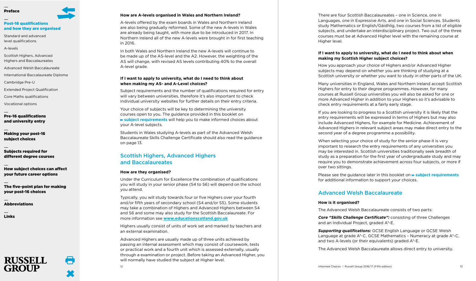# [Post-16 qualifications](#page-5-0)

[Standard and advanced](#page-5-1) 

[A-levels](#page-6-0)

[Scottish Highers, Advanced](#page-7-0)  [Highers and Baccalaureates](#page-7-0)

[Advanced Welsh Baccalaureate](#page-7-1)

[International Baccalaureate Diploma](#page-8-0)

[Cambridge Pre-U](#page-8-1)

[Extended Project Qualification](#page-9-0)

[Core Maths qualifications](#page-9-1)

[Vocational options](#page-10-0)

[Pre-16 qualifications](#page-12-0)  [and university entry](#page-12-0)

[Making your post-16](#page-14-0)  [subject choices](#page-14-0)

[Subjects required for](#page-20-0)  [different degree courses](#page-20-0)

[How subject choices can affect](#page-27-0)  [your future career options](#page-27-0)

[The five-point plan for making](#page-29-0)  [your post-16 choices](#page-29-0)

[Links](#page-31-0)

# [and how they are organised](#page-5-0)

[level qualifications](#page-5-1)

œ

[Abbreviations](#page-30-0)

**RUSSELL** 

## **How are A-levels organised in Wales and Northern Ireland?**

A-levels offered by the exam boards in Wales and Northern Ireland are also being gradually reformed. Some of the new A-levels in Wales are already being taught, with more due to be introduced in 2017. In Northern Ireland all of the new A-levels were brought in for first teaching in 2016.

In both Wales and Northern Ireland the new A-levels will continue to be made up of the AS-level and the A2. However, the weighting of the AS will change, with revised AS levels contributing 40% to the overall A-level grade.

## **If I want to apply to university, what do I need to think about when making my AS- and A-Level choices?**

Subject requirements and the number of qualifications required for entry will vary between universities, therefore it's also important to check individual university websites for further details on their entry criteria.

Your choice of subjects will be key to determining the university courses open to you. The guidance provided in this booklet on **subject [requirements](#page-15-2)** will help you to make informed choices about your A-level subjects.

Students in Wales studying A-levels as part of the Advanced Welsh Baccalaureate Skills Challenge Certificate should also read the guidance on page 13.

## <span id="page-7-0"></span>Scottish Highers, Advanced Highers and Baccalaureates

## **How are they organised?**

Under the Curriculum for Excellence the combination of qualifications you will study in your senior phase (S4 to S6) will depend on the school you attend.

Typically, you will study towards four or five Highers over your fourth and/or fifth years of secondary school (S4 and/or S5). Some students may take a combination of Highers and Advanced Highers between S4 and S6 and some may also study for the Scottish Baccalaureate. For more information see **www.educationscotland.gov.uk**

Highers usually consist of units of work set and marked by teachers and an external examination.

Advanced Highers are usually made up of three units achieved by passing an internal assessment which may consist of coursework, tests or practical work and a fourth unit which is assessed externally, usually through a examination or project. Before taking an Advanced Higher, you will normally have studied the subject at Higher level.

There are four Scottish Baccalaureates – one in Science, one in Languages, one in Expressive Arts, and one in Social Sciences. Students study Mathematics or English/Gàidhlig, two courses from a list of eligible subjects, and undertake an interdisciplinary project. Two out of the three courses must be at Advanced Higher level with the remaining course at Higher level.

## **If I want to apply to university, what do I need to think about when making my Scottish Higher subject choices?**

How you approach your choice of Highers and/or Advanced Higher subjects may depend on whether you are thinking of studying at a Scottish university or whether you want to study in other parts of the UK.

Many universities in England, Wales and Northern Ireland accept Scottish Highers for entry to their degree programmes. However, for many courses at Russell Group universities you will also be asked for one or more Advanced Higher in addition to your Highers so it's advisable to check entry requirements at a fairly early stage.

If you are looking to progress to a Scottish university it is likely that the entry requirements will be expressed in terms of Highers but may also include Advanced Highers, for example for Medicine. Achievement of Advanced Highers in relevant subject areas may make direct entry to the second year of a degree programme a possibility.

When selecting your choice of study for the senior phase it is very important to research the entry requirements of any universities you may be interested in. Scottish universities traditionally seek breadth of study as a preparation for the first year of undergraduate study and may require you to demonstrate achievement across four subjects, or more if over two sittings.

Please see the guidance later in this booklet on **» subject [requirements](#page-15-2)** for additional information to support your choices.

## <span id="page-7-1"></span>Advanced Welsh Baccalaureate

## **How is it organised?**

The Advanced Welsh Baccalaureate consists of two parts:

*Core "Skills Challenge Certificate":* consisting of three Challenges and an Individual Project, graded A\*-E.

*Supporting qualifications:* GCSE English Language or GCSE Welsh Language at grade A\*-C, GCSE Mathematics – Numeracy at grade A\*-C, and two A-levels (or their equivalents) graded A\*-E.

The Advanced Welsh Baccalaureate allows direct entry to university.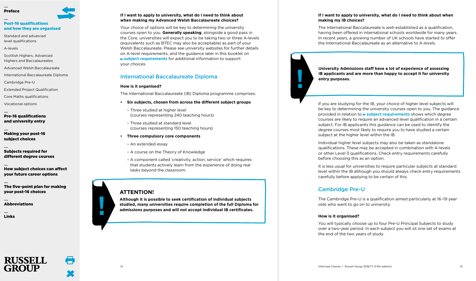## [Post-16 qualifications](#page-5-0) [and how they are organised](#page-5-0)

[Standard and advanced](#page-5-1)  [level qualifications](#page-5-1)

[A-levels](#page-6-0)

- [Scottish Highers, Advanced](#page-7-0)  [Highers and Baccalaureates](#page-7-0)
- [Advanced Welsh Baccalaureate](#page-7-1)
- [International Baccalaureate Diploma](#page-8-0)
- [Cambridge Pre-U](#page-8-1)
- [Extended Project Qualification](#page-9-0)
- [Core Maths qualifications](#page-9-1)
- [Vocational options](#page-10-0)
- [Pre-16 qualifications](#page-12-0)  [and university entry](#page-12-0)
- [Making your post-16](#page-14-0)  [subject choices](#page-14-0)
- [Subjects required for](#page-20-0)  [different degree courses](#page-20-0)
- [How subject choices can affect](#page-27-0)  [your future career options](#page-27-0)
- [The five-point plan for making](#page-29-0)  [your post-16 choices](#page-29-0)

[Abbreviations](#page-30-0)

**RUSSELL** 

[Links](#page-31-0)

## **If I want to apply to university, what do I need to think about when making my Advanced Welsh Baccalaureate choices?**

Your choice of options will be key to determining the university courses open to you. **Generally speaking**, alongside a good pass in the Core, universities will expect you to be taking two or three A-levels (equivalents such as BTEC may also be acceptable) as part of your Welsh Baccalaureate. Please see university websites for further details on A-level requirements, and the guidance later in this booklet on **subject [requirements](#page-15-2)** for additional information to support your choices.

## <span id="page-8-0"></span>International Baccalaureate Diploma

## **How is it organised?**

The International Baccalaureate (IB) Diploma programme comprises:

- **• Six subjects, chosen from across the different subject groups**
	- Three studied at higher level (courses representing 240 teaching hours)
	- Three studied at standard level (courses representing 150 teaching hours)
- **• Three compulsory core components**
	- An extended essay
	- A course on the Theory of Knowledge
	- A component called 'creativity, action, service' which requires that students actively learn from the experience of doing real tasks beyond the classroom.

## **ATTENTION!**

**Although it is possible to seek certification of individual subjects studied, many universities require completion of the full Diploma for admissions purposes and will not accept individual IB certificates.**

## **If I want to apply to university, what do I need to think about when making my IB choices?**

The International Baccalaureate is well-established as a qualification, having been offered in international schools worldwide for many years. In recent years, a growing number of UK schools have started to offer the International Baccalaureate as an alternative to A-levels.

**University Admissions staff have a lot of experience of assessing IB applicants and are more than happy to accept it for university entry purposes.**

If you are studying for the IB, your choice of higher level subjects will be key to determining the university courses open to you. The guidance provided in relation to **subject [requirements](#page-15-2)** shows which degree courses are likely to require an advanced level qualification in a certain subject. For IB applicants this guidance can be used to identify the degree courses most likely to require you to have studied a certain subject at the higher level within the IB.

Individual higher level subjects may also be taken as standalone qualifications. These may be accepted in combination with A-levels or other Level 3 qualifications. Check entry requirements carefully before choosing this as an option.

It is less usual for universities to require particular subjects at standard level within the IB although you should always check entry requirements carefully before applying to be certain of this.

## <span id="page-8-1"></span>Cambridge Pre-U

 $\mathcal{L}_{\mathrm{eff}}$ 

The Cambridge Pre-U is a qualification aimed particularly at 16–19 year olds who want to go on to university.

## **How is it organised?**

You will typically choose up to four Pre-U Principal Subjects to study over a two-year period. In each subject you will sit one set of exams at the end of the two years of study.

 $\mathbb{R}^n$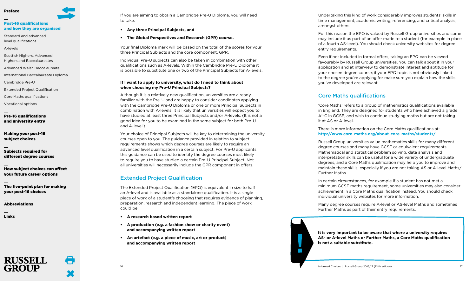## [Post-16 qualifications](#page-5-0) [and how they are organised](#page-5-0)

[Standard and advanced](#page-5-1)  [level qualifications](#page-5-1)

[A-levels](#page-6-0)

[Scottish Highers, Advanced](#page-7-0)  [Highers and Baccalaureates](#page-7-0)

[Advanced Welsh Baccalaureate](#page-7-1)

[International Baccalaureate Diploma](#page-8-0)

[Cambridge Pre-U](#page-8-1)

[Extended Project Qualification](#page-9-0)

[Core Maths qualifications](#page-9-1)

[Vocational options](#page-10-0)

[Pre-16 qualifications](#page-12-0)  [and university entry](#page-12-0)

[Making your post-16](#page-14-0)  [subject choices](#page-14-0)

[Subjects required for](#page-20-0)  [different degree courses](#page-20-0)

[How subject choices can affect](#page-27-0)  [your future career options](#page-27-0)

[The five-point plan for making](#page-29-0)  [your post-16 choices](#page-29-0)

[Abbreviations](#page-30-0)

**RUSSELL** 

[Links](#page-31-0)

If you are aiming to obtain a Cambridge Pre-U Diploma, you will need to take:

- **• Any three Principal Subjects, and**
- **• The Global Perspectives and Research (GPR) course.**

Your final Diploma mark will be based on the total of the scores for your three Principal Subjects and the core component, GPR.

Individual Pre-U subjects can also be taken in combination with other qualifications such as A-levels. Within the Cambridge Pre-U Diploma it is possible to substitute one or two of the Principal Subjects for A-levels.

## **If I want to apply to university, what do I need to think about when choosing my Pre-U Principal Subjects?**

Although it is a relatively new qualification, universities are already familiar with the Pre-U and are happy to consider candidates applying with the Cambridge Pre-U Diploma or one or more Principal Subjects in combination with A-levels. It is likely that universities will expect you to have studied at least three Principal Subjects and/or A-levels. (It is not a good idea for you to be examined in the same subject for both Pre-U and A-level.)

Your choice of Principal Subjects will be key to determining the university courses open to you. The guidance provided in relation to subject requirements shows which degree courses are likely to require an advanced level qualification in a certain subject. For Pre-U applicants this guidance can be used to identify the degree courses most likely to require you to have studied a certain Pre-U Principal Subject. Not all universities will necessarily include the GPR component in offers.

## <span id="page-9-0"></span>Extended Project Qualification

The Extended Project Qualification (EPQ) is equivalent in size to half an A-level and is available as a standalone qualification. It is a single piece of work of a student's choosing that requires evidence of planning, preparation, research and independent learning. The piece of work could be:

- **• A research based written report**
- **• A production (e.g. a fashion show or charity event) and accompanying written report**
- **• An artefact (e.g. a piece of music, art or product) and accompanying written report**

Undertaking this kind of work considerably improves students' skills in time management, academic writing, referencing, and critical analysis, amongst others.

For this reason the EPQ is valued by Russell Group universities and some may include it as part of an offer made to a student (for example in place of a fourth AS-level). You should check university websites for degree entry requirements.

Even if not included in formal offers, taking an EPQ can be viewed favourably by Russell Group universities. You can talk about it in your application and at interview to demonstrate interest and aptitude for your chosen degree course; if your EPQ topic is not obviously linked to the degree you're applying for make sure you explain how the skills you've developed are relevant.

## <span id="page-9-1"></span>Core Maths qualifications

'Core Maths' refers to a group of mathematics qualifications available in England. They are designed for students who have achieved a grade A\*-C in GCSE, and wish to continue studying maths but are not taking it at AS or A-level.

There is more information on the Core Maths qualifications at: **http://www.core-maths.org/about-core-maths/students/**

Russell Group universities value mathematics skills for many different degree courses and many have GCSE or equivalent requirements. Mathematical and statistical problem solving, data analysis and interpretation skills can be useful for a wide variety of undergraduate degrees, and a Core Maths qualification may help you to improve and maintain these skills, especially if you are not taking AS or A-level Maths/ Further Maths.

In certain circumstances, for example if a student has not met a minimum GCSE maths requirement, some universities may also consider achievement in a Core Maths qualification instead. You should check individual university websites for more information.

Many degree courses require A-level or AS-level Maths and sometimes Further Maths as part of their entry requirements.



16 Informed Choices | Russell Group 2016/17 (Fifth edition) 17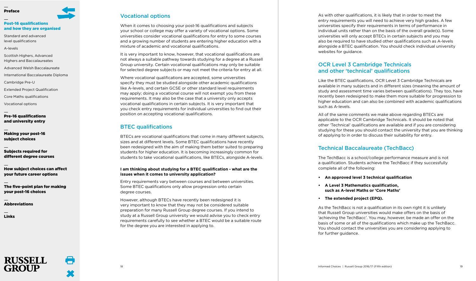## [Post-16 qualifications](#page-5-0) [and how they are organised](#page-5-0)

[Standard and advanced](#page-5-1)  [level qualifications](#page-5-1)

[A-levels](#page-6-0)

[Scottish Highers, Advanced](#page-7-0)  [Highers and Baccalaureates](#page-7-0)

[Advanced Welsh Baccalaureate](#page-7-1)

[International Baccalaureate Diploma](#page-8-0)

[Cambridge Pre-U](#page-8-1)

[Extended Project Qualification](#page-9-0)

[Core Maths qualifications](#page-9-1)

[Vocational options](#page-10-0)

[Pre-16 qualifications](#page-12-0)  [and university entry](#page-12-0)

[Making your post-16](#page-14-0)  [subject choices](#page-14-0)

[Subjects required for](#page-20-0)  [different degree courses](#page-20-0)

[How subject choices can affect](#page-27-0)  [your future career options](#page-27-0)

[The five-point plan for making](#page-29-0)  [your post-16 choices](#page-29-0)

[Abbreviations](#page-30-0)

**RUSSELL** 

[Links](#page-31-0)

## <span id="page-10-0"></span>Vocational options

When it comes to choosing your post-16 qualifications and subjects your school or college may offer a variety of vocational options. Some universities consider vocational qualifications for entry to some courses and a growing number of students are entering higher education with a mixture of academic and vocational qualifications.

It is very important to know, however, that vocational qualifications are not always a suitable pathway towards studying for a degree at a Russell Group university. Certain vocational qualifications may only be suitable for selected degree subjects or may not meet the criteria for entry at all.

Where vocational qualifications are accepted, some universities specify they must be studied alongside other academic qualifications like A-levels, and certain GCSE or other standard level requirements may apply; doing a vocational course will not exempt you from these requirements. It may also be the case that a university only accepts vocational qualifications in certain subjects. It is very important that you check entry requirements for individual universities to find out their position on accepting vocational qualifications.

## BTEC qualifications

BTECs are vocational qualifications that come in many different subjects, sizes and at different levels. Some BTEC qualifications have recently been redesigned with the aim of making them better suited to preparing students for higher education. It is becoming increasingly common for students to take vocational qualifications, like BTECs, alongside A-levels.

## **I am thinking about studying for a BTEC qualification - what are the issues when it comes to university application?**

Entry requirements vary between courses and between universities. Some BTEC qualifications only allow progression onto certain degree courses.

However, although BTECs have recently been redesigned it is very important to know that they may not be considered suitable preparation for many Russell Group degree courses. If you intend to study at a Russell Group university we would advise you to check entry requirements carefully to see whether a BTEC would be a suitable route for the degree you are interested in applying to.

As with other qualifications, it is likely that in order to meet the entry requirements you will need to achieve very high grades. A few universities specify their requirements in terms of performance in individual units rather than on the basis of the overall grade(s). Some universities will only accept BTECs in certain subjects and you may also be required to have studied other qualifications such as A-levels alongside a BTEC qualification. You should check individual university websites for guidance.

## OCR Level 3 Cambridge Technicals and other 'technical' qualifications

Like the BTEC qualifications, OCR Level 3 Cambridge Technicals are available in many subjects and in different sizes (meaning the amount of study and assessment time varies between qualifications). They too, have recently been redesigned to make them more suitable for progression to higher education and can also be combined with academic qualifications such as A-levels.

All of the same comments we make above regarding BTECs are applicable to the OCR Cambridge Technicals. It should be noted that other 'Technical' qualifications are available and if you are considering studying for these you should contact the university that you are thinking of applying to in order to discuss their suitability for entry.

## Technical Baccalaureate (TechBacc)

The TechBacc is a school/college performance measure and is not a qualification. Students achieve the TechBacc if they successfully complete all of the following:

- **• An approved level 3 technical qualification**
- **• A Level 3 Mathematics qualification, such as A-level Maths or 'Core Maths'**
- **• The extended project (EPQ).**

As the TechBacc is not a qualification in its own right it is unlikely that Russell Group universities would make offers on the basis of 'achieving the TechBacc'. You may, however, be made an offer on the basis of some or all of the qualifications which make up the TechBacc. You should contact the universities you are considering applying to for further quidance.

 $\blacksquare$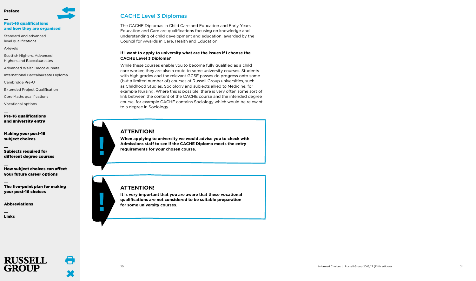## [Post-16 qualifications](#page-5-0) [and how they are organised](#page-5-0)

[Standard and advanced](#page-5-1)  [level qualifications](#page-5-1)

[A-levels](#page-6-0)

[Scottish Highers, Advanced](#page-7-0)  [Highers and Baccalaureates](#page-7-0)

[Advanced Welsh Baccalaureate](#page-7-1)

[International Baccalaureate Diploma](#page-8-0)

[Cambridge Pre-U](#page-8-1)

[Extended Project Qualification](#page-9-0)

[Core Maths qualifications](#page-9-1)

[Vocational options](#page-10-0)

[Pre-16 qualifications](#page-12-0)  [and university entry](#page-12-0)

[Making your post-16](#page-14-0)  [subject choices](#page-14-0)

[Subjects required for](#page-20-0)  [different degree courses](#page-20-0)

[How subject choices can affect](#page-27-0)  [your future career options](#page-27-0)

[The five-point plan for making](#page-29-0)  [your post-16 choices](#page-29-0)

[Abbreviations](#page-30-0)

[Links](#page-31-0)

## CACHE Level 3 Diplomas

The CACHE Diplomas in Child Care and Education and Early Years Education and Care are qualifications focusing on knowledge and understanding of child development and education, awarded by the Council for Awards in Care, Health and Education.

## **If I want to apply to university what are the issues if I choose the CACHE Level 3 Diploma?**

While these courses enable you to become fully qualified as a child care worker, they are also a route to some university courses. Students with high grades and the relevant GCSE passes do progress onto some (but a limited number of) courses at Russell Group universities, such as Childhood Studies, Sociology and subjects allied to Medicine, for example Nursing. Where this is possible, there is very often some sort of link between the content of the CACHE course and the intended degree course, for example CACHE contains Sociology which would be relevant to a degree in Sociology.

## **ATTENTION!**

**When applying to university we would advise you to check with Admissions staff to see if the CACHE Diploma meets the entry requirements for your chosen course.**

## **ATTENTION!**

 $\mathbb{R}^n$ 

 $\mathcal{L}^{\text{max}}$ 

A

**It is very important that you are aware that these vocational qualifications are not considered to be suitable preparation for some university courses.**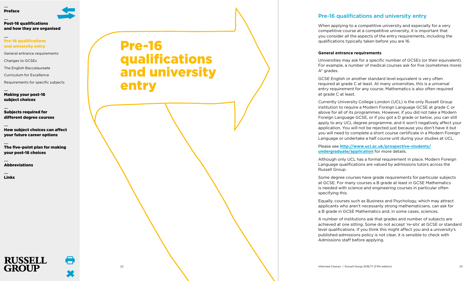

## [Pre-16 qualifications](#page-12-0)  [and university entry](#page-12-0)

[General entrance requirements](#page-12-1)

[Changes to GCSEs](#page-13-0)

[The English Baccalaureate](#page-13-1)

[Curriculum for Excellence](#page-13-2)

[Requirements for specific subjects](#page-13-3)

[Making your post-16](#page-14-0)  [subject choices](#page-14-0)

[Subjects required for](#page-20-0)  [different degree courses](#page-20-0)

[How subject choices can affect](#page-27-0)  [your future career options](#page-27-0)

[The five-point plan for making](#page-29-0)  [your post-16 choices](#page-29-0)

[Abbreviations](#page-30-0)

**RUSSELL GROUP** 

[Links](#page-31-0)

# <span id="page-12-0"></span>Pre-16 qualifications and university entry

## Pre-16 qualifications and university entry

When applying to a competitive university and especially for a very competitive course at a competitive university, it is important that you consider all the aspects of the entry requirements, including the qualifications typically taken before you are 16.

## <span id="page-12-1"></span>**General entrance requirements**

Universities may ask for a specific number of GCSEs (or their equivalent). For example, a number of medical courses ask for five (sometimes more) A\* grades.

GCSE English or another standard level equivalent is very often required at grade C at least. At many universities, this is a universal entry requirement for any course. Mathematics is also often required at grade C at least.

Currently University College London (UCL) is the only Russell Group institution to require a Modern Foreign Language GCSE at grade C or above for all of its programmes. However, if you did not take a Modern Foreign Language GCSE, or if you got a D grade or below, you can still apply to any UCL degree programme, and it won't negatively affect your application. You will not be rejected just because you don't have it but you will need to complete a short course certificate in a Modern Foreign Language or undertake a half course unit during your studies at UCL.

Please see **[http://www.ucl.ac.uk/prospective-students/](http://www.ucl.ac.uk/prospective-students/undergraduate/application) [undergraduate/application](http://www.ucl.ac.uk/prospective-students/undergraduate/application)** for more details.

Although only UCL has a formal requirement in place, Modern Foreign Language qualifications are valued by admissions tutors across the Russell Group.

Some degree courses have grade requirements for particular subjects at GCSE. For many courses a B grade at least in GCSE Mathematics is needed with science and engineering courses in particular often specifying this.

Equally, courses such as Business and Psychology, which may attract applicants who aren't necessarily strong mathematicians, can ask for a B grade in GCSE Mathematics and, in some cases, sciences.

A number of institutions ask that grades and number of subjects are achieved at one sitting. Some do not accept 're-sits' at GCSE or standard level qualifications. If you think this might affect you and a university's published admissions policy is not clear, it is sensible to check with Admissions staff before applying.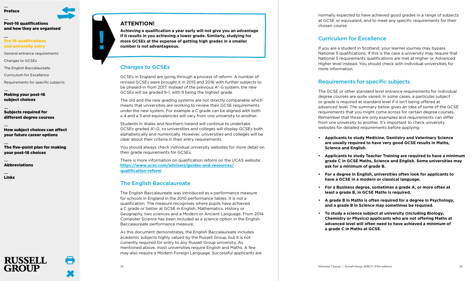## [Post-16 qualifications](#page-5-0) [and how they are organised](#page-5-0)

## [Pre-16 qualifications](#page-12-0)  [and university entry](#page-12-0)

[General entrance requirements](#page-12-1)

[Changes to GCSEs](#page-13-0)

[The English Baccalaureate](#page-13-1)

[Curriculum for Excellence](#page-13-2)

[Requirements for specific subjects](#page-13-3)

[Making your post-16](#page-14-0)  [subject choices](#page-14-0)

[Subjects required for](#page-20-0)  [different degree courses](#page-20-0)

[How subject choices can affect](#page-27-0)  [your future career options](#page-27-0)

[The five-point plan for making](#page-29-0)  [your post-16 choices](#page-29-0)

[Abbreviations](#page-30-0)

**RUSSELL** 

[Links](#page-31-0)

## **ATTENTION!**

**Achieving a qualification a year early will not give you an advantage if it results in you achieving a lower grade. Similarly, studying for more GCSEs at the expense of getting high grades in a smaller number is not advantageous.**

## <span id="page-13-0"></span>Changes to GCSEs

GCSEs in England are going through a process of reform. A number of revised GCSEs were brought it in 2015 and 2016 with further subjects to be phased-in from 2017. Instead of the previous A\*-G system, the new GCSEs will be graded 9-1, with 9 being the highest grade.

The old and the new grading systems are not directly comparable which means that universities are working to review their GCSE requirements under the new system. For example a C grade can be aligned with both a 4 and a 5 and equivalencies will vary from one university to another.

Students in Wales and Northern Ireland will continue to undertake GCSEs graded A\*-G, so universities and colleges will display GCSEs both alphabetically and numerically. However, universities and colleges will be clear about their criteria in their entry requirements.

You should always check individual university websites for more detail on their grade requirements for GCSEs.

There is more information on qualification reform on the UCAS website: **https://www.ucas.com/advisers/guides-and-resources/ qualification-reform**

## <span id="page-13-1"></span>The English Baccalaureate

The English Baccalaureate was introduced as a performance measure for schools in England in the 2010 performance tables. It is not a qualification. The measure recognises where pupils have achieved a C grade or better at GCSE in English, Mathematics, History or Geography, two sciences and a Modern or Ancient Language. From 2014 Computer Science has been included as a science option in the English Baccalaureate performance measure.

As this document demonstrates, the English Baccalaureate includes academic subjects highly valued by the Russell Group, but it is not currently required for entry to any Russell Group university. As mentioned above, most universities require English and Maths. A few may also require a Modern Foreign Language. Successful applicants are normally expected to have achieved good grades in a range of subjects at GCSE or equivalent, and to meet any specific requirements for their chosen course.

## <span id="page-13-2"></span>Curriculum for Excellence

If you are a student in Scotland, your learner journey may bypass National 5 qualifications. If this is the case a university may require that National 5 requirements qualifications are met at Higher or Advanced Higher level instead. You should check with individual universities for more information.

## <span id="page-13-3"></span>Requirements for specific subjects

The GCSE or other standard level entrance requirements for individual degree courses are quite varied. In some cases, a particular subject or grade is required at standard level if it isn't being offered at advanced level. The summary below gives an idea of some of the GCSE requirements that you might come across for certain degree courses. Remember that these are only examples and requirements can differ from one university to another. It's important to check university websites for detailed requirements before applying.

- **• Applicants to study Medicine, Dentistry and Veterinary Science are usually required to have very good GCSE results in Maths, Science and English.**
- **• Applicants to study Teacher Training are required to have a minimum grade C in GCSE Maths, Science and English. Some universities may ask for a minimum of grade B.**
- **• For a degree in English, universities often look for applicants to have a GCSE in a modern or classical language.**
- **• For a Business degree, sometimes a grade A, or more often at least a grade B, in GCSE Maths is required.**
- **• A grade B in Maths is often required for a degree in Psychology, and a grade B in Science may sometimes be required.**
- **• To study a science subject at university (including Biology, Chemistry or Physics) applicants who are not offering Maths at advanced level will often need to have achieved a minimum of a grade C in Maths at GCSE.**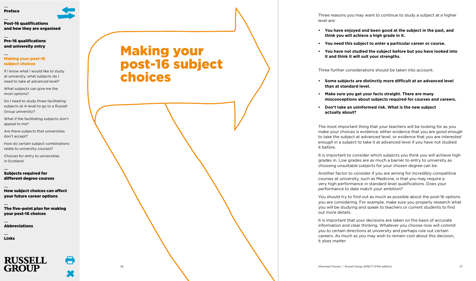## [Post-16 qualifications](#page-5-0) [and how they are organised](#page-5-0)

[Pre-16 qualifications](#page-12-0)  [and university entry](#page-12-0)

## [Making your post-16](#page-14-0)  [subject choices](#page-14-0)

[If I know what I would like to study](#page-15-0) [at university, what subjects do I](#page-15-0) [need to take at advanced level?](#page-15-0)

[What subjects can give me the](#page-15-1) [most options?](#page-15-1)

[Do I need to study three facilitating](#page-16-0) [subjects at A-level to go to a Russell](#page-16-0) [Group university?](#page-16-0)

What if the facilitating subjects don't appeal to me?

Are there subjects that universities don't accept?

[How do certain subject combinations](#page-17-0) [relate to university courses?](#page-17-0)

[Choices for entry to universities](#page-19-0) [in Scotland](#page-19-0)

[Subjects required for](#page-20-0)  [different degree courses](#page-20-0)

[How subject choices can affect](#page-27-0)  [your future career options](#page-27-0)

[The five-point plan for making](#page-29-0)  [your post-16 choices](#page-29-0)

[Abbreviations](#page-30-0)

[Links](#page-31-0)



<span id="page-14-0"></span>Making your post-16 subject choices

Three reasons you may want to continue to study a subject at a higher level are:

- **• You have enjoyed and been good at the subject in the past, and think you will achieve a high grade in it.**
- **• You need this subject to enter a particular career or course.**
- **• You have not studied the subject before but you have looked into it and think it will suit your strengths.**

Three further considerations should be taken into account:

- **• Some subjects are distinctly more difficult at an advanced level than at standard level.**
- **• Make sure you get your facts straight. There are many misconceptions about subjects required for courses and careers.**
- **• Don't take an uninformed risk. What is the new subject actually about?**

The most important thing that your teachers will be looking for as you make your choices is evidence: either evidence that you are *good enough* to take the subject at advanced level, or evidence that you are *interested enough* in a subject to take it at advanced level if you have not studied it before.

It is important to consider which subjects you think you will achieve high grades in. Low grades are as much a barrier to entry to university as choosing unsuitable subjects for your chosen degree can be.

Another factor to consider if you are aiming for incredibly competitive courses at university, such as Medicine, is that you may require a very high performance in standard level qualifications. Does your performance to date match your ambition?

You should try to find out as much as possible about the post-16 options you are considering. For example, make sure you properly research what you will be studying and speak to teachers or current students to find out more details.

It is important that your decisions are taken on the basis of accurate information and clear thinking. Whatever you choose now will commit you to certain directions at university and perhaps rule out certain careers. As much as you may wish to remain cool about this decision, it *does matter*.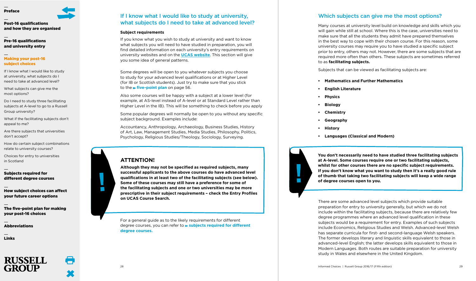

[Post-16 qualifications](#page-5-0) [and how they are organised](#page-5-0)

[Pre-16 qualifications](#page-12-0)  [and university entry](#page-12-0)

## [Making your post-16](#page-14-0)  [subject choices](#page-14-0)

[If I know what I would like to study](#page-15-0) [at university, what subjects do I](#page-15-0) [need to take at advanced level?](#page-15-0)

[What subjects can give me the](#page-15-1) [most options?](#page-15-1)

[Do I need to study three facilitating](#page-16-0) [subjects at A-level to go to a Russell](#page-16-0) [Group university?](#page-16-0)

What if the facilitating subjects don't appeal to me?

Are there subjects that universities don't accept?

[How do certain subject combinations](#page-17-0) [relate to university courses?](#page-17-0)

[Choices for entry to universities](#page-19-0) [in Scotland](#page-19-0)

## [Subjects required for](#page-20-0)  [different degree courses](#page-20-0)

[How subject choices can affect](#page-27-0)  [your future career options](#page-27-0)

[The five-point plan for making](#page-29-0)  [your post-16 choices](#page-29-0)

[Abbreviations](#page-30-0)

[Links](#page-31-0)



## <span id="page-15-0"></span>If I know what I would like to study at university, what subjects do I need to take at advanced level?

## <span id="page-15-2"></span>**Subject requirements**

If you know what you wish to study at university and want to know what subjects you will need to have studied in preparation, you will find detailed information on each university's entry requirements on university websites and on the **UCAS [website](https://www.ucas.com/)**. This section will give you some idea of general patterns.

Some degrees will be open to you whatever subjects you choose to study for your advanced level qualifications or at Higher Level (for IB or Scottish students). Just try to make sure that you stick to the **[five-point](#page-29-0) plan** on page 56.

Also some courses will be happy with a subject at a lower level (for example, at AS-level instead of A-level or at Standard Level rather than Higher Level in the IB). This will be something to check before you apply

Some popular degrees will normally be open to you without any specific subject background. Examples include:

Accountancy, Anthropology, Archaeology, Business Studies, History of Art, Law, Management Studies, Media Studies, Philosophy, Politics, Psychology, Religious Studies/Theology, Sociology, Surveying.

## **ATTENTION!**

**Although they may not be specified as required subjects, many successful applicants to the above courses do have advanced level qualifications in at least two of the facilitating subjects (see below). Some of these courses may still have a preference for some of the facilitating subjects and one or two universities may be more prescriptive in their subject requirements – check the Entry Profiles on UCAS Course Search.**

For a general guide as to the likely requirements for different degree courses, you can refer to **subjects required for [different](#page-20-0) degree [courses.](#page-20-0)**

## <span id="page-15-1"></span>Which subjects can give me the most options?

Many courses at university level build on knowledge and skills which you will gain while still at school. Where this is the case, universities need to make sure that all the students they admit have prepared themselves in the best way to cope with their chosen course. For this reason, some university courses may require you to have studied a specific subject prior to entry, others may not. However, there are some subjects that are required more often than others. These subjects are sometimes referred to as **facilitating subjects.**

Subjects that can be viewed as facilitating subjects are:

- **• Mathematics and Further Mathematics**
- **• English Literature**
- **• Physics**
- **• Biology**
- **• Chemistry**
- **• Geography**
- **• History**
- **• Languages (Classical and Modern)**

**You don't necessarily need to have studied three facilitating subjects at A-level. Some courses require one or two facilitating subjects, whilst for other courses there are no specific subject requirements. If you don't know what you want to study then it's a really good rule of thumb that taking two facilitating subjects will keep a wide range of degree courses open to you.**

There are some advanced level subjects which provide suitable preparation for entry to university generally, but which we do not include within the facilitating subjects, because there are relatively few degree programmes where an advanced level qualification in these subjects would be a requirement for entry. Examples of such subjects include Economics, Religious Studies and Welsh. Advanced-level Welsh has separate curricula for first- and second-language Welsh speakers. The former develops literary and linguistic skills equivalent to those in advanced-level English; the latter develops skills equivalent to those in Modern Languages. Both routes are suitable preparation for university study in Wales and elsewhere in the United Kingdom.

 $\mathcal{C}^{\mathcal{A}}$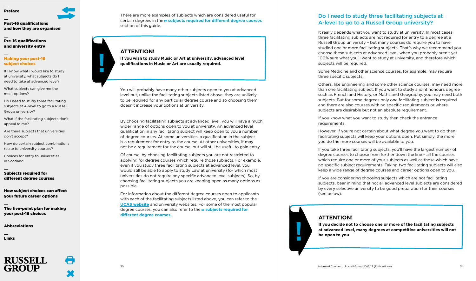

[Post-16 qualifications](#page-5-0) [and how they are organised](#page-5-0)

## [Pre-16 qualifications](#page-12-0)  [and university entry](#page-12-0)

## [Making your post-16](#page-14-0)  [subject choices](#page-14-0)

[If I know what I would like to study](#page-15-0) [at university, what subjects do I](#page-15-0) [need to take at advanced level?](#page-15-0)

[What subjects can give me the](#page-15-1) [most options?](#page-15-1)

[Do I need to study three facilitating](#page-16-0) [subjects at A-level to go to a Russell](#page-16-0) [Group university?](#page-16-0)

What if the facilitating subjects don't appeal to me?

Are there subjects that universities don't accept?

[How do certain subject combinations](#page-17-0) [relate to university courses?](#page-17-0)

[Choices for entry to universities](#page-19-0) [in Scotland](#page-19-0)

[Subjects required for](#page-20-0)  [different degree courses](#page-20-0)

[How subject choices can affect](#page-27-0)  [your future career options](#page-27-0)

[The five-point plan for making](#page-29-0)  [your post-16 choices](#page-29-0)

[Abbreviations](#page-30-0)

[Links](#page-31-0)



There are more examples of subjects which are considered useful for certain degrees in the **subjects required for [different](#page-20-0) degree courses** section of this guide.

## **ATTENTION!**

 $\mathbb{R}^n$ 

**If you wish to study Music or Art at university, advanced level qualifications in Music or Art are usually required.**

You will probably have many other subjects open to you at advanced level but, unlike the facilitating subjects listed above, they are unlikely to be required for any particular degree course and so choosing them doesn't increase your options at university.

By choosing facilitating subjects at advanced level, you will have a much wider range of options open to you at university. An advanced level qualification in any facilitating subject will keep open to you a number of degree courses. At some universities, a qualification in the subject is a requirement for entry to the course. At other universities, it may not be a requirement for the course, but will still be useful to gain entry.

Of course, by choosing facilitating subjects you are not restricted to applying for degree courses which require those subjects. For example, even if you study three facilitating subjects at advanced level, you would still be able to apply to study Law at university (for which most universities do not require any specific advanced level subjects). So, by choosing facilitating subjects you are keeping open as many options as possible.

For information about the different degree courses open to applicants with each of the facilitating subjects listed above, you can refer to the **UCAS [website](https://www.ucas.com)** and university websites. For some of the most popular degree courses, you can also refer to the **subjects [required](#page-20-0) for [different](#page-20-0) degree courses.**

## <span id="page-16-0"></span>Do I need to study three facilitating subjects at A-level to go to a Russell Group university?

It really depends what you want to study at university. In most cases, three facilitating subjects are not required for entry to a degree at a Russell Group university – but many courses do require you to have studied one or more facilitating subjects. That's why we recommend you choose these subjects at advanced level, when you probably aren't yet 100% sure what you'll want to study at university, and therefore which subjects will be required.

Some Medicine and other science courses, for example, may require three specific subjects.

Others, like Engineering and some other science courses, may need more than one facilitating subject. If you want to study a joint honours degree such as French and History, or Maths and Geography, you may need both subjects. But for some degrees only one facilitating subject is required and there are also courses with no specific requirements or where subjects are desirable but not an absolute requirement.

If you know what you want to study then check the entrance requirements.

However, if you're not certain about what degree you want to do then facilitating subjects will keep your options open. Put simply, the more you do the more courses will be available to you.

If you take three facilitating subjects, you'll have the largest number of degree courses to choose from further down the line – all the courses which require one or more of your subjects as well as those which have no specific subject requirements. Taking two facilitating subjects will also keep a wide range of degree courses and career options open to you.

If you are considering choosing subjects which are not facilitating subjects, bear in mind that not all advanced level subjects are considered by every selective university to be good preparation for their courses (see below).

## **ATTENTION!**

**If you decide not to choose one or more of the facilitating subjects at advanced level, many degrees at competitive universities will not be open to you**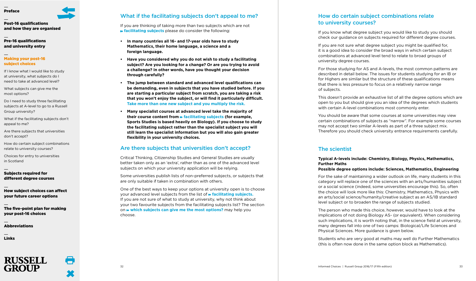# [Post-16 qualifications](#page-5-0)

## [and how they are organised](#page-5-0)

[Pre-16 qualifications](#page-12-0)  [and university entry](#page-12-0)

## [Making your post-16](#page-14-0)  [subject choices](#page-14-0)

[If I know what I would like to study](#page-15-0) [at university, what subjects do I](#page-15-0) [need to take at advanced level?](#page-15-0)

[What subjects can give me the](#page-15-1) [most options?](#page-15-1)

[Do I need to study three facilitating](#page-16-0) [subjects at A-level to go to a Russell](#page-16-0) [Group university?](#page-16-0)

What if the facilitating subjects don't appeal to me?

Are there subjects that universities don't accept?

[How do certain subject combinations](#page-17-0) [relate to university courses?](#page-17-0)

[Choices for entry to universities](#page-19-0) [in Scotland](#page-19-0)

## [Subjects required for](#page-20-0)  [different degree courses](#page-20-0)

[How subject choices can affect](#page-27-0)  [your future career options](#page-27-0)

[The five-point plan for making](#page-29-0)  [your post-16 choices](#page-29-0)

[Abbreviations](#page-30-0)

[Links](#page-31-0)



## What if the facilitating subjects don't appeal to me?

If you are thinking of taking more than two subjects which are not **[facilitating](#page-15-1) subjects** please do consider the following:

- **• In many countries all 16- and 17-year olds have to study Mathematics, their home language, a science and a foreign language.**
- **• Have you considered why you do not wish to study a facilitating subject? Are you looking for a change? Or are you trying to avoid a challenge? In other words, have you thought your decision through carefully?**
- **• The jump between standard and advanced level qualifications can be demanding, even in subjects that you have studied before. If you are starting a particular subject from scratch, you are taking a risk that you won't enjoy the subject, or will find it particularly difficult. Take more than one new subject and you multiply the risk.**
- **• Many specialist courses at advanced level take the majority of their course content from [facilitating](#page-15-1) subjects (for example, Sports Studies is based heavily on Biology). If you choose to study the facilitating subject rather than the specialist subject you will still learn the specialist information but you will also gain greater flexibility in your university choices.**

## Are there subjects that universities don't accept?

Critical Thinking, Citizenship Studies and General Studies are usually better taken only as an 'extra', rather than as one of the advanced level subjects on which your university application will be relying.

Some universities publish lists of non-preferred subjects, or subjects that are only suitable if taken in combination with others.

One of the best ways to keep your options at university open is to choose your advanced level subjects from the list of **\* [facilitating](#page-15-1) subjects.** If you are not sure of what to study at university, why not think about your two favourite subjects from the facilitating subjects list? The section on **which subjects can give me the most [options?](#page-15-1)** may help you choose.

## <span id="page-17-0"></span>How do certain subject combinations relate to university courses?

If you know what degree subject you would like to study you should check our guidance on subjects required for different degree courses.

If you are not sure what degree subject you might be qualified for, it is a good idea to consider the broad ways in which certain subject combinations at advanced level tend to relate to broad groups of university degree courses.

For those studying for AS and A-levels, the most common patterns are described in detail below. The issues for students studying for an IB or for Highers are similar but the structure of these qualifications means that there is less pressure to focus on a relatively narrow range of subjects.

This doesn't provide an exhaustive list of all the degree options which are open to you but should give you an idea of the degrees which students with certain A-level combinations most commonly enter.

You should be aware that some courses at some universities may view certain combinations of subjects as "narrow". For example some courses may not accept two similar A-levels as part of a three subject mix. Therefore you should check university entrance requirements carefully.

## The scientist

## **Typical A-levels include: Chemistry, Biology, Physics, Mathematics, Further Maths**

## **Possible degree options include: Sciences, Mathematics, Engineering**

For the sake of maintaining a wider outlook on life, many students in this category will replace one of the sciences with an arts/humanities subject or a social science (indeed, some universities encourage this). So, often the choice will look more like this: Chemistry, Mathematics, Physics with an arts/social science/humanity/creative subject as an AS/IB standard level subject or to broaden the range of subjects studied.

The person who made this choice, however, would have to look at the implications of not doing Biology AS- (or equivalent). When considering such implications, it is worth noting that, in the science field at university, many degrees fall into one of two camps: Biological/Life Sciences and Physical Sciences. More guidance is given below.

Students who are very good at maths may well do Further Mathematics (this is often now done in the same option block as Mathematics).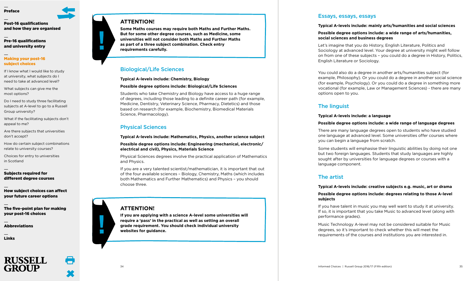[Post-16 qualifications](#page-5-0) [and how they are organised](#page-5-0)

[Pre-16 qualifications](#page-12-0)  [and university entry](#page-12-0)

## [Making your post-16](#page-14-0)  [subject choices](#page-14-0)

[If I know what I would like to study](#page-15-0) [at university, what subjects do I](#page-15-0) [need to take at advanced level?](#page-15-0)

[What subjects can give me the](#page-15-1) [most options?](#page-15-1)

[Do I need to study three facilitating](#page-16-0) [subjects at A-level to go to a Russell](#page-16-0) [Group university?](#page-16-0)

What if the facilitating subjects don't appeal to me?

Are there subjects that universities don't accept?

[How do certain subject combinations](#page-17-0) [relate to university courses?](#page-17-0)

[Choices for entry to universities](#page-19-0) [in Scotland](#page-19-0)

## [Subjects required for](#page-20-0)  [different degree courses](#page-20-0)

[How subject choices can affect](#page-27-0)  [your future career options](#page-27-0)

[The five-point plan for making](#page-29-0)  [your post-16 choices](#page-29-0)

[Abbreviations](#page-30-0)

[Links](#page-31-0)



## **ATTENTION!**

**Some Maths courses may require both Maths and Further Maths. But for some other degree courses, such as Medicine, some universities will not consider both Maths and Further Maths as part of a three subject combination. Check entry requirements carefully.**

## Biological/Life Sciences

**Typical A-levels include: Chemistry, Biology**

## **Possible degree options include: Biological/Life Sciences**

Students who take Chemistry and Biology have access to a huge range of degrees, including those leading to a definite career path (for example, Medicine, Dentistry, Veterinary Science, Pharmacy, Dietetics) and those based on research (for example, Biochemistry, Biomedical Materials Science, Pharmacology).

## Physical Sciences

**Typical A-levels include: Mathematics, Physics, another science subject Possible degree options include: Engineering (mechanical, electronic/ electrical and civil), Physics, Materials Science**

Physical Sciences degrees involve the practical application of Mathematics and Physics.

If you are a very talented scientist/mathematician, it is important that out of the four available sciences – Biology, Chemistry, Maths (which includes both Mathematics and Further Mathematics) and Physics – you should choose three.

## **ATTENTION!**

**If you are applying with a science A-level some universities will require a 'pass' in the practical as well as setting an overall grade requirement. You should check individual university websites for guidance.**

## <span id="page-18-0"></span>Essays, essays, essays

## **Typical A-levels include: mainly arts/humanities and social sciences**

## **Possible degree options include: a wide range of arts/humanities, social sciences and business degrees**

Let's imagine that you do History, English Literature, Politics and Sociology at advanced level. Your degree at university might well follow on from one of these subjects – you could do a degree in History, Politics, English Literature or Sociology.

You could also do a degree in another arts/humanities subject (for example, Philosophy). Or you could do a degree in another social science (for example, Psychology). Or you could do a degree in something more vocational (for example, Law or Management Sciences) - there are many options open to you.

## The linguist

## **Typical A-levels include: a language**

## **Possible degree options include: a wide range of language degrees**

There are many language degrees open to students who have studied one language at advanced level. Some universities offer courses where you can begin a language from scratch.

Some students will emphasise their linguistic abilities by doing not one but two foreign languages. Students that study languages are highly sought after by universities for language degrees or courses with a language component.

## The artist

## **Typical A-levels include: creative subjects e.g. music, art or drama**

## **Possible degree options include: degrees relating to those A-level subjects**

If you have talent in music you may well want to study it at university. If so, it is important that you take Music to advanced level (along with performance grades).

Music Technology A-level may not be considered suitable for Music degrees, so it's important to check whether this will meet the requirements of the courses and institutions you are interested in.

 $\mathbb{R}^n$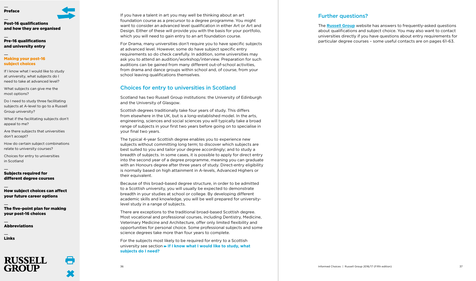



[Pre-16 qualifications](#page-12-0)  [and university entry](#page-12-0)

## [Making your post-16](#page-14-0)  [subject choices](#page-14-0)

[If I know what I would like to study](#page-15-0) [at university, what subjects do I](#page-15-0) [need to take at advanced level?](#page-15-0)

[What subjects can give me the](#page-15-1) [most options?](#page-15-1)

[Do I need to study three facilitating](#page-16-0) [subjects at A-level to go to a Russell](#page-16-0) [Group university?](#page-16-0)

What if the facilitating subjects don't appeal to me?

Are there subjects that universities don't accept?

[How do certain subject combinations](#page-17-0) [relate to university courses?](#page-17-0)

[Choices for entry to universities](#page-19-0) [in Scotland](#page-19-0)

## [Subjects required for](#page-20-0)  [different degree courses](#page-20-0)

[How subject choices can affect](#page-27-0)  [your future career options](#page-27-0)

[The five-point plan for making](#page-29-0)  [your post-16 choices](#page-29-0)

[Abbreviations](#page-30-0)

[Links](#page-31-0)



If you have a talent in art you may well be thinking about an art foundation course as a precursor to a degree programme. You might want to consider an advanced level qualification in either Art or Art and Design. Either of these will provide you with the basis for your portfolio, which you will need to gain entry to an art foundation course.

For Drama, many universities don't require you to have specific subjects at advanced level. However, some do have subject specific entry requirements so do check carefully. In addition, some universities may ask you to attend an audition/workshop/interview. Preparation for such auditions can be gained from many different out-of-school activities, from drama and dance groups within school and, of course, from your school leaving qualifications themselves.

## <span id="page-19-0"></span>Choices for entry to universities in Scotland

Scotland has two Russell Group institutions: the University of Edinburgh and the University of Glasgow.

Scottish degrees traditionally take four years of study. This differs from elsewhere in the UK, but is a long-established model. In the arts, engineering, sciences and social sciences you will typically take a broad range of subjects in your first two years before going on to specialise in your final two years.

The typical 4-year Scottish degree enables you to experience new subjects without committing long term; to discover which subjects are best suited to you and tailor your degree accordingly; and to study a breadth of subjects. In some cases, it is possible to apply for direct entry into the second year of a degree programme, meaning you can graduate with an Honours degree after three years of study. Direct-entry eligibility is normally based on high attainment in A-levels, Advanced Highers or their equivalent.

Because of this broad-based degree structure, in order to be admitted to a Scottish university, you will usually be expected to demonstrate breadth in your studies at school or college. By developing different academic skills and knowledge, you will be well prepared for universitylevel study in a range of subjects.

There are exceptions to the traditional broad-based Scottish degree. Most vocational and professional courses, including Dentistry, Medicine, Veterinary Medicine and Architecture, offer only limited flexibility and opportunities for personal choice. Some professional subjects and some science degrees take more than four years to complete.

For the subjects most likely to be required for entry to a Scottish university see section **If I know what I would like to study, what subjects do I need?**

## Further questions?

The **Russell Group** website has answers to frequently-asked questions about qualifications and subject choice. You may also want to contact universities directly if you have questions about entry requirements for particular degree courses – some useful contacts are on pages 61-63.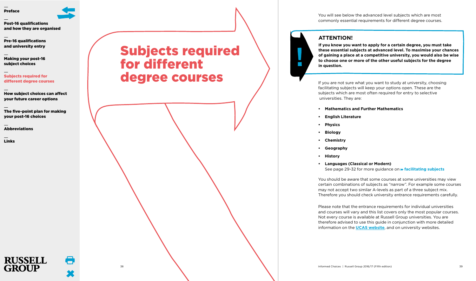

[Pre-16 qualifications](#page-12-0)  [and university entry](#page-12-0)

[Making your post-16](#page-14-0)  [subject choices](#page-14-0)

[Subjects required for](#page-20-0)  [different degree courses](#page-20-0)

[How subject choices can affect](#page-27-0)  [your future career options](#page-27-0)

[The five-point plan for making](#page-29-0)  [your post-16 choices](#page-29-0)

**[Abbreviations](#page-30-0)** 

[Links](#page-31-0)

# <span id="page-20-0"></span>Subjects required for different degree courses

You will see below the advanced level subjects which are most commonly essential requirements for different degree courses.

## **ATTENTION!**

 $\mathcal{L}_{\mathcal{A}}$ 

**If you know you want to apply for a certain degree, you must take these essential subjects at advanced level. To maximise your chances of gaining a place at a competitive university, you would also be wise to choose one or more of the other useful subjects for the degree in question.**

If you are not sure what you want to study at university, choosing facilitating subjects will keep your options open. These are the subjects which are most often required for entry to selective universities. They are:

- **• Mathematics and Further Mathematics**
- **• English Literature**
- **• Physics**
- **• Biology**
- **• Chemistry**
- **• Geography**
- **• History**
- **• Languages (Classical or Modern)** See page 29-32 for more guidance on **[facilitating](#page-15-1) subjects**

You should be aware that some courses at some universities may view certain combinations of subjects as "narrow". For example some courses may not accept two similar A-levels as part of a three subject mix. Therefore you should check university entrance requirements carefully.

Please note that the entrance requirements for individual universities and courses will vary and this list covers only the most popular courses. Not every course is available at Russell Group universities. You are therefore advised to use this guide in conjunction with more detailed information on the **UCAS [website](http://www.ucas.com)**, and on university websites.

38 Informed Choices | Russell Group 2016/17 (Fifth edition) 39



 $\blacksquare$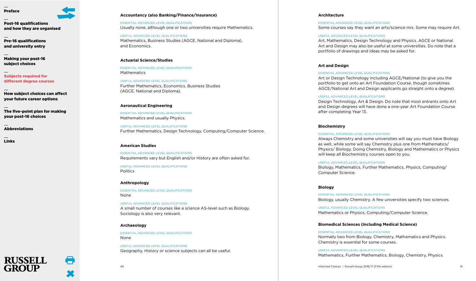

[Pre-16 qualifications](#page-12-0)  [and university entry](#page-12-0)

[Making your post-16](#page-14-0)  [subject choices](#page-14-0)

[Subjects required for](#page-20-0)  [different degree courses](#page-20-0)

[How subject choices can affect](#page-27-0)  [your future career options](#page-27-0)

[The five-point plan for making](#page-29-0)  [your post-16 choices](#page-29-0)

**[Abbreviations](#page-30-0)** 

[Links](#page-31-0)

## **Accountancy (also Banking/Finance/Insurance)**

ESSENTIAL ADVANCED LEVEL QUALIFICATIONS Usually none, although one or two universities require Mathematics.

USEFUL ADVANCED LEVEL QUALIFICATIONS Mathematics, Business Studies (AGCE, National and Diploma), and Economics.

## **Actuarial Science/Studies**

ESSENTIAL ADVANCED LEVEL QUALIFICATIONS Mathematics

USEFUL ADVANCED LEVEL QUALIFICATIONS Further Mathematics, Economics, Business Studies (AGCE, National and Diploma).

### **Aeronautical Engineering**

ESSENTIAL ADVANCED LEVEL QUALIFICATIONS Mathematics and usually Physics.

USEFUL ADVANCED LEVEL QUALIFICATIONS Further Mathematics, Design Technology, Computing/Computer Science.

## **American Studies**

ESSENTIAL ADVANCED LEVEL QUALIFICATIONS Requirements vary but English and/or History are often asked for.

USEFUL ADVANCED LEVEL QUALIFICATIONS Politics

### **Anthropology**

ESSENTIAL ADVANCED LEVEL QUALIFICATIONS None

USEFUL ADVANCED LEVEL QUALIFICATIONS A small number of courses like a science AS-level such as Biology. Sociology is also very relevant.

### **Archaeology**

ESSENTIAL ADVANCED LEVEL QUALIFICATIONS None

USEFUL ADVANCED LEVEL QUALIFICATIONS Geography, History or science subjects can all be useful.

### **Architecture**

ESSENTIAL ADVANCED LEVEL QUALIFICATIONS

Some courses say they want an arts/science mix. Some may require Art.

### USEFUL ADVANCED LEVEL QUALIFICATIONS

Art, Mathematics, Design Technology and Physics. AGCE or National Art and Design may also be useful at some universities. Do note that a portfolio of drawings and ideas may be asked for.

### **Art and Design**

### ESSENTIAL ADVANCED LEVEL QUALIFICATIONS

Art or Design Technology including AGCE/National (to give you the portfolio to get onto an Art Foundation Course, though sometimes AGCE/National Art and Design applicants go straight onto a degree).

### USEFUL ADVANCED LEVEL QUALIFICATIONS

Design Technology, Art & Design. Do note that most entrants onto Art and Design degrees will have done a one-year Art Foundation Course after completing Year 13.

### **Biochemistry**

### ESSENTIAL ADVANCED LEVEL QUALIFICATIONS

Always Chemistry and some universities will say you must have Biology as well, while some will say Chemistry plus one from Mathematics/ Physics/ Biology. Doing Chemistry, Biology and Mathematics or Physics will keep all Biochemistry courses open to you.

### USEFUL ADVANCED LEVEL QUALIFICATIONS

Biology, Mathematics, Further Mathematics, Physics, Computing/ Computer Science.

### **Biology**

ESSENTIAL ADVANCED LEVEL QUALIFICATIONS Biology, usually Chemistry. A few universities specify two sciences.

USEFUL ADVANCED LEVEL QUALIFICATIONS Mathematics or Physics, Computing/Computer Science.

### **Biomedical Sciences (including Medical Science)**

ESSENTIAL ADVANCED LEVEL QUALIFICATIONS Normally two from Biology, Chemistry, Mathematics and Physics. Chemistry is essential for some courses.

USEFUL ADVANCED LEVEL QUALIFICATIONS Mathematics, Further Mathematics, Biology, Chemistry, Physics.

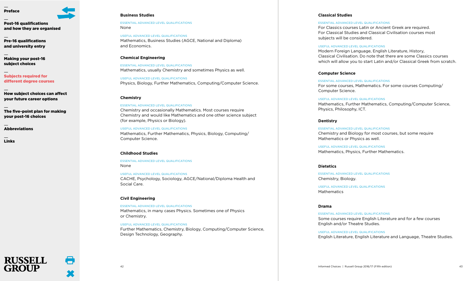[Post-16 qualifications](#page-5-0)

[and how they are organised](#page-5-0)

[Pre-16 qualifications](#page-12-0)  [and university entry](#page-12-0)

[Making your post-16](#page-14-0)  [subject choices](#page-14-0)

[Subjects required for](#page-20-0)  [different degree courses](#page-20-0)

[How subject choices can affect](#page-27-0)  [your future career options](#page-27-0)

[The five-point plan for making](#page-29-0)  [your post-16 choices](#page-29-0)

**[Abbreviations](#page-30-0)** 

**RUSSELL** 

[Links](#page-31-0)

## **Business Studies**

ESSENTIAL ADVANCED LEVEL QUALIFICATIONS None

USEFUL ADVANCED LEVEL QUALIFICATIONS Mathematics, Business Studies (AGCE, National and Diploma) and Economics.

## **Chemical Engineering**

ESSENTIAL ADVANCED LEVEL QUALIFICATIONS Mathematics, usually Chemistry and sometimes Physics as well.

USEFUL ADVANCED LEVEL QUALIFICATIONS Physics, Biology, Further Mathematics, Computing/Computer Science.

## **Chemistry**

### ESSENTIAL ADVANCED LEVEL QUALIFICATIONS

Chemistry and occasionally Mathematics. Most courses require Chemistry and would like Mathematics and one other science subject (for example, Physics or Biology).

USEFUL ADVANCED LEVEL QUALIFICATIONS Mathematics, Further Mathematics, Physics, Biology, Computing/

### **Childhood Studies**

Computer Science.

ESSENTIAL ADVANCED LEVEL QUALIFICATIONS None

USEFUL ADVANCED LEVEL QUALIFICATIONS CACHE, Psychology, Sociology, AGCE/National/Diploma Health and Social Care.

## **Civil Engineering**

ESSENTIAL ADVANCED LEVEL QUALIFICATIONS Mathematics, in many cases Physics. Sometimes one of Physics or Chemistry.

### USEFUL ADVANCED LEVEL QUALIFICATIONS

Further Mathematics, Chemistry, Biology, Computing/Computer Science, Design Technology, Geography.

## **Classical Studies**

### ESSENTIAL ADVANCED LEVEL QUALIFICATIONS

For Classics courses Latin or Ancient Greek are required. For Classical Studies and Classical Civilisation courses most subjects will be considered.

### USEFUL ADVANCED LEVEL QUALIFICATIONS

Modern Foreign Language, English Literature, History, Classical Civilisation. Do note that there are some Classics courses which will allow you to start Latin and/or Classical Greek from scratch.

## **Computer Science**

ESSENTIAL ADVANCED LEVEL QUALIFICATIONS For some courses, Mathematics. For some courses Computing/ Computer Science.

### USEFUL ADVANCED LEVEL QUALIFICATIONS

Mathematics, Further Mathematics, Computing/Computer Science, Physics, Philosophy, ICT.

## **Dentistry**

ESSENTIAL ADVANCED LEVEL QUALIFICATIONS Chemistry and Biology for most courses, but some require Mathematics or Physics as well.

USEFUL ADVANCED LEVEL QUALIFICATIONS Mathematics, Physics, Further Mathematics.

## **Dietetics**

ESSENTIAL ADVANCED LEVEL QUALIFICATIONS Chemistry, Biology.

USEFUL ADVANCED LEVEL QUALIFICATIONS Mathematics

### **Drama**

ESSENTIAL ADVANCED LEVEL QUALIFICATIONS Some courses require English Literature and for a few courses English and/or Theatre Studies.

USEFUL ADVANCED LEVEL QUALIFICATIONS English Literature, English Literature and Language, Theatre Studies.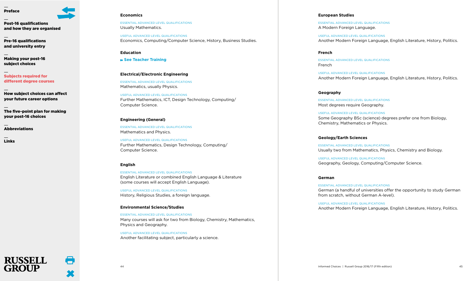[Post-16 qualifications](#page-5-0) [and how they are organised](#page-5-0)

[Pre-16 qualifications](#page-12-0)  [and university entry](#page-12-0)

[Making your post-16](#page-14-0)  [subject choices](#page-14-0)

[Subjects required for](#page-20-0)  [different degree courses](#page-20-0)

[How subject choices can affect](#page-27-0)  [your future career options](#page-27-0)

[The five-point plan for making](#page-29-0)  [your post-16 choices](#page-29-0)

**[Abbreviations](#page-30-0)** 

[Links](#page-31-0)

## **Economics**

ESSENTIAL ADVANCED LEVEL QUALIFICATIONS Usually Mathematics.

USEFUL ADVANCED LEVEL QUALIFICATIONS Economics, Computing/Computer Science, History, Business Studies.

## **Education**

**See Teacher [Training](#page-26-0)**

## **Electrical/Electronic Engineering**

ESSENTIAL ADVANCED LEVEL QUALIFICATIONS Mathematics, usually Physics.

USEFUL ADVANCED LEVEL QUALIFICATIONS Further Mathematics, ICT, Design Technology, Computing/ Computer Science.

## **Engineering (General)**

ESSENTIAL ADVANCED LEVEL QUALIFICATIONS Mathematics and Physics.

USEFUL ADVANCED LEVEL QUALIFICATIONS Further Mathematics, Design Technology, Computing/ Computer Science.

## **English**

ESSENTIAL ADVANCED LEVEL QUALIFICATIONS

English Literature or combined English Language & Literature (some courses will accept English Language).

USEFUL ADVANCED LEVEL QUALIFICATIONS History, Religious Studies, a foreign language.

## **Environmental Science/Studies**

ESSENTIAL ADVANCED LEVEL QUALIFICATIONS Many courses will ask for two from Biology, Chemistry, Mathematics, Physics and Geography.

USEFUL ADVANCED LEVEL QUALIFICATIONS Another facilitating subject, particularly a science.

### **European Studies**

ESSENTIAL ADVANCED LEVEL QUALIFICATIONS A Modern Foreign Language.

USEFUL ADVANCED LEVEL QUALIFICATIONS Another Modern Foreign Language, English Literature, History, Politics.

## **French**

ESSENTIAL ADVANCED LEVEL QUALIFICATIONS French

USEFUL ADVANCED LEVEL QUALIFICATIONS Another Modern Foreign Language, English Literature, History, Politics.

### **Geography**

ESSENTIAL ADVANCED LEVEL QUALIFICATIONS Most degrees require Geography.

USEFUL ADVANCED LEVEL QUALIFICATIONS Some Geography BSc (science) degrees prefer one from Biology, Chemistry, Mathematics or Physics.

## **Geology/Earth Sciences**

ESSENTIAL ADVANCED LEVEL QUALIFICATIONS Usually two from Mathematics, Physics, Chemistry and Biology.

USEFUL ADVANCED LEVEL QUALIFICATIONS Geography, Geology, Computing/Computer Science.

## **German**

ESSENTIAL ADVANCED LEVEL QUALIFICATIONS German (a handful of universities offer the opportunity to study German from scratch, without German A-level).

USEFUL ADVANCED LEVEL QUALIFICATIONS Another Modern Foreign Language, English Literature, History, Politics.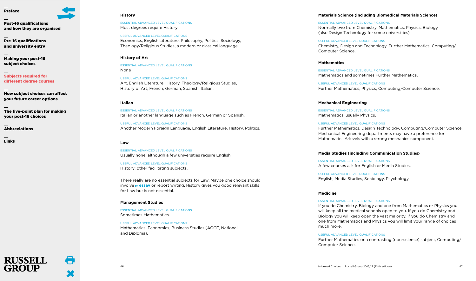[Post-16 qualifications](#page-5-0) [and how they are organised](#page-5-0)

[Pre-16 qualifications](#page-12-0)  [and university entry](#page-12-0)

[Making your post-16](#page-14-0)  [subject choices](#page-14-0)

[Subjects required for](#page-20-0)  [different degree courses](#page-20-0)

[How subject choices can affect](#page-27-0)  [your future career options](#page-27-0)

[The five-point plan for making](#page-29-0)  [your post-16 choices](#page-29-0)

**[Abbreviations](#page-30-0)** 

**RUSSELL** 

[Links](#page-31-0)

### **History**

ESSENTIAL ADVANCED LEVEL QUALIFICATIONS Most degrees require History.

USEFUL ADVANCED LEVEL QUALIFICATIONS Economics, English Literature, Philosophy, Politics, Sociology, Theology/Religious Studies, a modern or classical language.

## **History of Art**

ESSENTIAL ADVANCED LEVEL QUALIFICATIONS None

USEFUL ADVANCED LEVEL QUALIFICATIONS Art, English Literature, History, Theology/Religious Studies, History of Art, French, German, Spanish, Italian.

### **Italian**

ESSENTIAL ADVANCED LEVEL QUALIFICATIONS Italian or another language such as French, German or Spanish.

USEFUL ADVANCED LEVEL QUALIFICATIONS Another Modern Foreign Language, English Literature, History, Politics.

### **Law**

ESSENTIAL ADVANCED LEVEL QUALIFICATIONS Usually none, although a few universities require English.

USEFUL ADVANCED LEVEL QUALIFICATIONS History; other facilitating subjects.

There really are no essential subjects for Law. Maybe one choice should involve **[essay](#page-18-0)** or report writing. History gives you good relevant skills for Law but is not essential.

### **Management Studies**

ESSENTIAL ADVANCED LEVEL QUALIFICATIONS Sometimes Mathematics.

USEFUL ADVANCED LEVEL QUALIFICATIONS

Mathematics, Economics, Business Studies (AGCE, National and Diploma).

## **Materials Science (including Biomedical Materials Science)**

ESSENTIAL ADVANCED LEVEL QUALIFICATIONS

Normally two from Chemistry, Mathematics, Physics, Biology (also Design Technology for some universities).

### USEFUL ADVANCED LEVEL QUALIFICATIONS

Chemistry, Design and Technology, Further Mathematics, Computing/ Computer Science.

## **Mathematics**

ESSENTIAL ADVANCED LEVEL QUALIFICATIONS Mathematics and sometimes Further Mathematics.

USEFUL ADVANCED LEVEL QUALIFICATIONS Further Mathematics, Physics, Computing/Computer Science.

### **Mechanical Engineering**

ESSENTIAL ADVANCED LEVEL QUALIFICATIONS Mathematics, usually Physics.

### USEFUL ADVANCED LEVEL QUALIFICATIONS

Further Mathematics, Design Technology, Computing/Computer Science. Mechanical Engineering departments may have a preference for Mathematics A-levels with a strong mechanics component.

### **Media Studies (including Communication Studies)**

ESSENTIAL ADVANCED LEVEL QUALIFICATIONS A few courses ask for English or Media Studies.

USEFUL ADVANCED LEVEL QUALIFICATIONS English, Media Studies, Sociology, Psychology.

## **Medicine**

### ESSENTIAL ADVANCED LEVEL QUALIFICATIONS

If you do Chemistry, Biology and one from Mathematics or Physics you will keep all the medical schools open to you. If you do Chemistry and Biology you will keep open the vast majority. If you do Chemistry and one from Mathematics and Physics you will limit your range of choices much more.

### USEFUL ADVANCED LEVEL QUALIFICATIONS

Further Mathematics or a contrasting (non-science) subject, Computing/ Computer Science.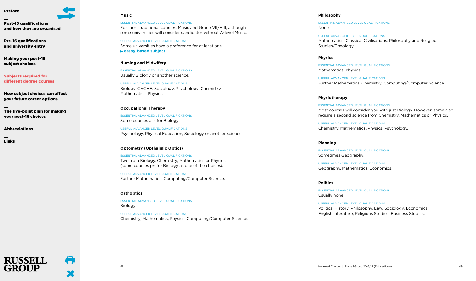[Post-16 qualifications](#page-5-0) [and how they are organised](#page-5-0)

[Pre-16 qualifications](#page-12-0)  [and university entry](#page-12-0)

[Making your post-16](#page-14-0)  [subject choices](#page-14-0)

[Subjects required for](#page-20-0)  [different degree courses](#page-20-0)

[How subject choices can affect](#page-27-0)  [your future career options](#page-27-0)

[The five-point plan for making](#page-29-0)  [your post-16 choices](#page-29-0)

**[Abbreviations](#page-30-0)** 

**RUSSELL** 

[Links](#page-31-0)

## **Music**

ESSENTIAL ADVANCED LEVEL QUALIFICATIONS For most traditional courses, Music and Grade VII/VIII, although some universities will consider candidates without A-level Music.

USEFUL ADVANCED LEVEL QUALIFICATIONS Some universities have a preference for at least one **[essay-based](#page-18-0) subject**

## **Nursing and Midwifery**

ESSENTIAL ADVANCED LEVEL QUALIFICATIONS Usually Biology or another science.

USEFUL ADVANCED LEVEL QUALIFICATIONS Biology, CACHE, Sociology, Psychology, Chemistry, Mathematics, Physics.

### **Occupational Therapy**

ESSENTIAL ADVANCED LEVEL QUALIFICATIONS Some courses ask for Biology.

USEFUL ADVANCED LEVEL QUALIFICATIONS Psychology, Physical Education, Sociology or another science.

### **Optometry (Opthalmic Optics)**

ESSENTIAL ADVANCED LEVEL QUALIFICATIONS Two from Biology, Chemistry, Mathematics or Physics (some courses prefer Biology as one of the choices).

USEFUL ADVANCED LEVEL QUALIFICATIONS Further Mathematics, Computing/Computer Science.

### **Orthoptics**

ESSENTIAL ADVANCED LEVEL QUALIFICATIONS Biology

USEFUL ADVANCED LEVEL QUALIFICATIONS Chemistry, Mathematics, Physics, Computing/Computer Science.

### **Philosophy**

ESSENTIAL ADVANCED LEVEL QUALIFICATIONS None

USEFUL ADVANCED LEVEL QUALIFICATIONS Mathematics, Classical Civilisations, Philosophy and Religious Studies/Theology.

## **Physics**

ESSENTIAL ADVANCED LEVEL QUALIFICATIONS Mathematics, Physics.

USEFUL ADVANCED LEVEL QUALIFICATIONS Further Mathematics, Chemistry, Computing/Computer Science.

## **Physiotherapy**

ESSENTIAL ADVANCED LEVEL QUALIFICATIONS Most courses will consider you with just Biology. However, some also require a second science from Chemistry, Mathematics or Physics.

USEFUL ADVANCED LEVEL QUALIFICATIONS Chemistry, Mathematics, Physics, Psychology.

### **Planning**

ESSENTIAL ADVANCED LEVEL QUALIFICATIONS Sometimes Geography.

USEFUL ADVANCED LEVEL QUALIFICATIONS Geography, Mathematics, Economics.

### **Politics**

ESSENTIAL ADVANCED LEVEL QUALIFICATIONS Usually none

USEFUL ADVANCED LEVEL QUALIFICATIONS Politics, History, Philosophy, Law, Sociology, Economics, English Literature, Religious Studies, Business Studies.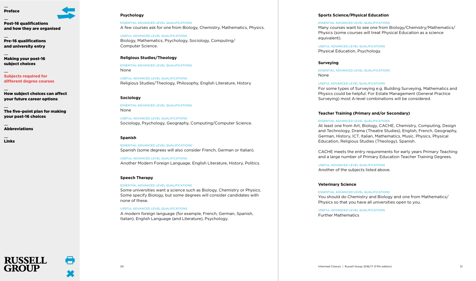[Post-16 qualifications](#page-5-0) [and how they are organised](#page-5-0)

[Pre-16 qualifications](#page-12-0)  [and university entry](#page-12-0)

[Making your post-16](#page-14-0)  [subject choices](#page-14-0)

[Subjects required for](#page-20-0)  [different degree courses](#page-20-0)

[How subject choices can affect](#page-27-0)  [your future career options](#page-27-0)

[The five-point plan for making](#page-29-0)  [your post-16 choices](#page-29-0)

**[Abbreviations](#page-30-0)** 

**RUSSELL** 

[Links](#page-31-0)

## **Psychology**

ESSENTIAL ADVANCED LEVEL QUALIFICATIONS A few courses ask for one from Biology, Chemistry, Mathematics, Physics.

USEFUL ADVANCED LEVEL QUALIFICATIONS Biology, Mathematics, Psychology, Sociology, Computing/ Computer Science.

## **Religious Studies/Theology**

ESSENTIAL ADVANCED LEVEL QUALIFICATIONS None

USEFUL ADVANCED LEVEL QUALIFICATIONS Religious Studies/Theology, Philosophy, English Literature, History

### **Sociology**

ESSENTIAL ADVANCED LEVEL QUALIFICATIONS None

USEFUL ADVANCED LEVEL QUALIFICATIONS Sociology, Psychology, Geography, Computing/Computer Science.

### **Spanish**

ESSENTIAL ADVANCED LEVEL QUALIFICATIONS Spanish (some degrees will also consider French, German or Italian).

USEFUL ADVANCED LEVEL QUALIFICATIONS Another Modern Foreign Language, English Literature, History, Politics.

### **Speech Therapy**

### ESSENTIAL ADVANCED LEVEL QUALIFICATIONS

Some universities want a science such as Biology, Chemistry or Physics. Some specify Biology, but some degrees will consider candidates with none of these.

### USEFUL ADVANCED LEVEL QUALIFICATIONS

A modern foreign language (for example, French, German, Spanish, Italian), English Language (and Literature), Psychology.

## **Sports Science/Physical Education**

### ESSENTIAL ADVANCED LEVEL QUALIFICATIONS

Many courses want to see one from Biology/Chemistry/Mathematics/ Physics (some courses will treat Physical Education as a science equivalent).

USEFUL ADVANCED LEVEL QUALIFICATIONS Physical Education, Psychology.

### **Surveying**

ESSENTIAL ADVANCED LEVEL QUALIFICATIONS None

### USEFUL ADVANCED LEVEL QUALIFICATIONS

For some types of Surveying e.g. Building Surveying, Mathematics and Physics could be helpful. For Estate Management (General Practice Surveying) most A-level combinations will be considered.

### <span id="page-26-0"></span>**Teacher Training (Primary and/or Secondary)**

### ESSENTIAL ADVANCED LEVEL QUALIFICATIONS

At least one from Art, Biology, CACHE, Chemistry, Computing, Design and Technology, Drama (Theatre Studies), English, French, Geography, German, History, ICT, Italian, Mathematics, Music, Physics, Physical Education, Religious Studies (Theology), Spanish.

CACHE meets the entry requirements for early years Primary Teaching and a large number of Primary Education Teacher Training Degrees.

USEFUL ADVANCED LEVEL QUALIFICATIONS Another of the subjects listed above.

### **Veterinary Science**

ESSENTIAL ADVANCED LEVEL QUALIFICATIONS You should do Chemistry and Biology and one from Mathematics/ Physics so that you have all universities open to you.

USEFUL ADVANCED LEVEL QUALIFICATIONS Further Mathematics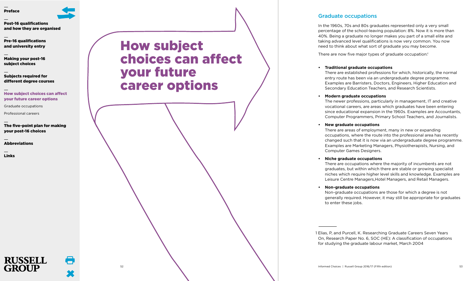

[Pre-16 qualifications](#page-12-0)  [and university entry](#page-12-0)

[Making your post-16](#page-14-0)  [subject choices](#page-14-0)

[Subjects required for](#page-20-0)  [different degree courses](#page-20-0)

[How subject choices can affect](#page-27-0)  [your future career options](#page-27-0)

[Graduate occupations](#page-27-1)

[Professional careers](#page-28-0)

[The five-point plan for making](#page-29-0)  [your post-16 choices](#page-29-0)

[Abbreviations](#page-30-0)

[Links](#page-31-0)

# <span id="page-27-0"></span>How subject choices can affect your future career options

## <span id="page-27-1"></span>Graduate occupations

In the 1960s, 70s and 80s graduates represented only a very small percentage of the school-leaving population: 8%. Now it is more than 40%. Being a graduate no longer makes you part of a small elite and taking advanced level qualifications is now very common. You now need to think about what sort of graduate you may become.

There are now five major types of graduate occupation:<sup>1</sup>

## **• Traditional graduate occupations**

There are established professions for which, historically, the normal entry route has been via an undergraduate degree programme. Examples are Barristers, Doctors, Engineers, Higher Education and Secondary Education Teachers, and Research Scientists.

## **• Modern graduate occupations**

The newer professions, particularly in management, IT and creative vocational careers, are areas which graduates have been entering since educational expansion in the 1960s. Examples are Accountants, Computer Programmers, Primary School Teachers, and Journalists.

## **• New graduate occupations**

There are areas of employment, many in new or expanding occupations, where the route into the professional area has recently changed such that it is now via an undergraduate degree programme. Examples are Marketing Managers, Physiotherapists, Nursing, and Computer Games Designers.

### **• Niche graduate occupations**

There are occupations where the majority of incumbents are not graduates, but within which there are stable or growing specialist niches which require higher level skills and knowledge. Examples are Leisure Centre Managers,Hotel Managers, and Retail Managers.

## **• Non-graduate occupations**

Non-graduate occupations are those for which a degree is not generally required. However, it may still be appropriate for graduates to enter these jobs.

1 Elias, P, and Purcell, K. Researching Graduate Careers Seven Years On, Research Paper No. 6, SOC (HE): A classification of occupations for studying the graduate labour market, March 2004

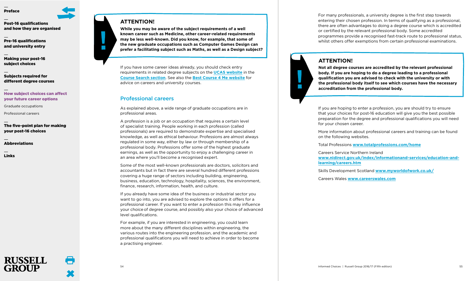[Post-16 qualifications](#page-5-0) [and how they are organised](#page-5-0)

[Pre-16 qualifications](#page-12-0)  [and university entry](#page-12-0)

[Making your post-16](#page-14-0)  [subject choices](#page-14-0)

[Subjects required for](#page-20-0)  [different degree courses](#page-20-0)

## [How subject choices can affect](#page-27-0)  [your future career options](#page-27-0)

[Graduate occupations](#page-27-1)

[Professional careers](#page-28-0)

## [The five-point plan for making](#page-29-0)  [your post-16 choices](#page-29-0)

[Abbreviations](#page-30-0)

**RUSSELL** 

[Links](#page-31-0)

## **ATTENTION!**

**While you may be aware of the subject requirements of a well known career such as Medicine, other career-related requirements may be less well-known. Did you know, for example, that some of the new graduate occupations such as Computer Games Design can prefer a facilitating subject such as Maths, as well as a Design subject?**

If you have some career ideas already, you should check entry requirements in related degree subjects on the **UCAS [website](http://www.ucas.com)** in the **Course Search [section](http://www.ucas.com)**. See also the **Best Course 4 Me [website](http://www.bestcourse4me.com/)** for advice on careers and university courses.

## <span id="page-28-0"></span>Professional careers

As explained above, a wide range of graduate occupations are in professional areas.

A profession is a job or an occupation that requires a certain level of specialist training. People working in each profession (called professionals) are required to demonstrate expertise and specialised knowledge, as well as ethical behaviour. Professions are almost always regulated in some way, either by law or through membership of a professional body. Professions offer some of the highest graduate earnings, as well as the opportunity to enjoy a challenging career in an area where you'll become a recognised expert.

Some of the most well-known professionals are doctors, solicitors and accountants but in fact there are several hundred different professions covering a huge range of sectors including building, engineering, business, education, technology, hospitality, sciences, the environment, finance, research, information, health, and culture.

If you already have some idea of the business or industrial sector you want to go into, you are advised to explore the options it offers for a professional career. If you want to enter a profession this may influence your choiceof degree course, and possibly also your choice of advanced level qualifications.

For example, if you are interested in engineering, you could learn more about the many different disciplines within engineering, the various routes into the engineering profession, and the academic and professional qualifications you will need to achieve in order to become a practising engineer.

For many professionals, a university degree is the first step towards entering their chosen profession. In terms of qualifying as a professional, there are often advantages to doing a degree course which is accredited or certified by the relevant professional body. Some accredited programmes provide a recognised fast-track route to professional status, whilst others offer exemptions from certain professional examinations.

## **ATTENTION!**

 $\mathcal{L}_{\mathcal{A}}$ 

**Not all degree courses are accredited by the relevant professional body. If you are hoping to do a degree leading to a professional qualification you are advised to check with the university or with the professional body itself to see which courses have the necessary accreditation from the professional body.**

If you are hoping to enter a profession, you are should try to ensure that your choices for post-16 education will give you the best possible preparation for the degree and professional qualifications you will need for your chosen career.

More information about professional careers and training can be found on the following websites.

Total Professions **www.totalprofessions.com/home**

Careers Service Northern Ireland

**www.nidirect.gov.uk/index/informationand-services/education-andlearning/careers.htm**

Skills Development Scotland **www.myworldofwork.co.uk/**

Careers Wales **www.careerswales.com**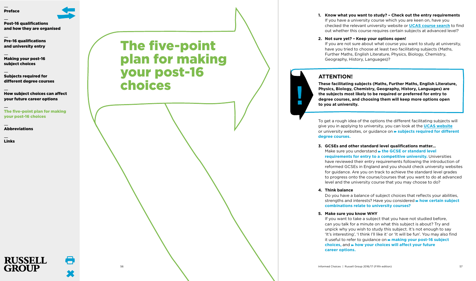

[Pre-16 qualifications](#page-12-0)  [and university entry](#page-12-0)

[Making your post-16](#page-14-0)  [subject choices](#page-14-0)

[Subjects required for](#page-20-0)  [different degree courses](#page-20-0)

[How subject choices can affect](#page-27-0)  [your future career options](#page-27-0)

[The five-point plan for making](#page-29-0)  [your post-16 choices](#page-29-0)

**[Abbreviations](#page-30-0)** 

**RUSSELL GROUP** 

[Links](#page-31-0)

<span id="page-29-0"></span>The five-point plan for making your post-16 choices

**1. Know what you want to study? – Check out the entry requirements** If you have a university course which you are keen on, have you checked the relevant university website or **UCAS [course](http://www.ucas.com) search** to find out whether this course requires certain subjects at advanced level?

## **2. Not sure yet? – Keep your options open!**

If you are not sure about what course you want to study at university, have you tried to choose at least two facilitating subjects (Maths, Further Maths, English Literature, Physics, Biology, Chemistry, Geography, History, Languages)?

## **ATTENTION!**

 $\mathbb{R}^n$ 

**These facilitating subjects (Maths, Further Maths, English Literature, Physics, Biology, Chemistry, Geography, History, Languages) are the subjects most likely to be required or preferred for entry to degree courses, and choosing them will keep more options open to you at university.**

To get a rough idea of the options the different facilitating subjects will give you in applying to university, you can look at the **UCAS [website](http://www.ucas.com)** or university websites, or guidance on **subjects required for [different](#page-20-0) degree [courses.](#page-20-0)**

**3. GCSEs and other standard level qualifications matter…** Make sure you understand **the GCSE or [standard](#page-12-0) level [requirements](#page-12-0) for entry to a competitive university.** Universities have reviewed their entry requirements following the introduction of reformed GCSEs in England and you should check university websites for guidance. Are you on track to achieve the standard level grades to progress onto the course/courses that you want to do at advanced level and the university course that you may choose to do?

**4. Think balance**

Do you have a balance of subject choices that reflects your abilities, strengths and interests? Have you considered **how certain [subject](#page-17-0) [combinations](#page-17-0) relate to university courses?**

**5. Make sure you know WHY**

If you want to take a subject that you have not studied before, can you talk for a minute on what this subject is about? Try and unpick why you wish to study this subject. It's not enough to say 'It's interesting', 'I think I'll like it' or 'It will be fun'. You may also find it useful to refer to guidance on **[making](#page-14-0) your post-16 subject [choices,](#page-14-0)** and **how your [choices](#page-27-0) will affect your future career [options.](#page-27-0)**

56 Informed Choices | Russell Group 2016/17 (Fifth edition) 57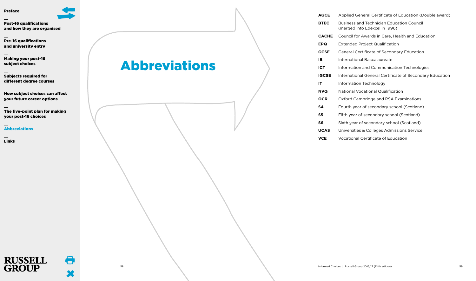[Post-16 qualifications](#page-5-0) [and how they are organised](#page-5-0)

[Pre-16 qualifications](#page-12-0)  [and university entry](#page-12-0)

[Making your post-16](#page-14-0)  [subject choices](#page-14-0)

[Subjects required for](#page-20-0)  [different degree courses](#page-20-0)

[How subject choices can affect](#page-27-0)  [your future career options](#page-27-0)

[The five-point plan for making](#page-29-0)  [your post-16 choices](#page-29-0)

[Abbreviations](#page-30-0)

**RUSSELL GROUP** 

[Links](#page-31-0)

# <span id="page-30-0"></span>Abbreviations

**AGCE** Applied General Certificate of Education (Double award)

- **BTEC** Business and Technician Education Council (merged into Edexcel in 1996)
- **CACHE** Council for Awards in Care, Health and Education
- **EPQ** Extended Project Qualification
- **GCSE** General Certificate of Secondary Education
- **IB** International Baccalaureate
- **ICT** Information and Communication Technologies
- **IGCSE** International General Certificate of Secondary Education
- **IT** Information Technology
- **NVQ** National Vocational Qualification
- **OCR** Oxford Cambridge and RSA Examinations
- **S4** Fourth year of secondary school (Scotland)
- **S5** Fifth year of secondary school (Scotland)
- **S6** Sixth year of secondary school (Scotland)
- **UCAS** Universities & Colleges Admissions Service
- **VCE** Vocational Certificate of Education

8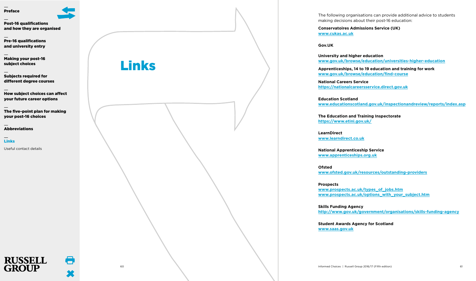[Post-16 qualifications](#page-5-0) [and how they are organised](#page-5-0)

[Pre-16 qualifications](#page-12-0)  [and university entry](#page-12-0)

[Making your post-16](#page-14-0)  [subject choices](#page-14-0)

[Subjects required for](#page-20-0)  [different degree courses](#page-20-0)

[How subject choices can affect](#page-27-0)  [your future career options](#page-27-0)

[The five-point plan for making](#page-29-0)  [your post-16 choices](#page-29-0)

[Abbreviations](#page-30-0)

[Links](#page-31-0)

[Useful contact details](#page-32-0)

**RUSSELL** 

 $\mathbf{M}$  TP

<span id="page-31-0"></span>Links

The following organisations can provide additional advice to students making decisions about their post-16 education:

**Conservatoires Admissions Service (UK) www.cukas.ac.uk**

**Gov.UK**

**University and higher education www.gov.uk/browse/education/universities-higher-education**

**Apprenticeships, 14 to 19 education and training for work www.gov.uk/browse/education/find-course**

**National Careers Service https://nationalcareersservice.direct.gov.uk**

**Education Scotland www.educationscotland.gov.uk/inspectionandreview/reports/index.asp**

**The Education and Training Inspectorate https://www.etini.gov.uk/**

**LearnDirect www.learndirect.co.uk**

**National Apprenticeship Service www.apprenticeships.org.uk**

**Ofsted www.ofsted.gov.uk/resources/outstanding-providers**

**Prospects www.prospects.ac.uk/types\_of\_jobs.htm www.prospects.ac.uk/options\_with\_your\_subject.htm**

**Skills Funding Agency http://www.gov.uk/government/organisations/skills-funding-agency**

**Student Awards Agency for Scotland www.saas.gov.uk**

60 Informed Choices | Russell Group 2016/17 (Fifth edition) 61



m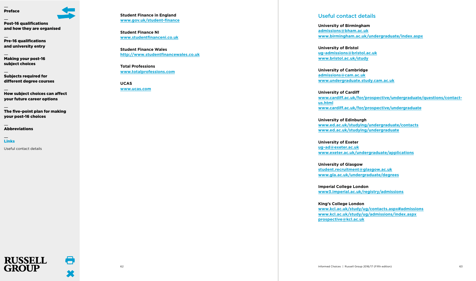[Post-16 qualifications](#page-5-0) [and how they are organised](#page-5-0)

[Pre-16 qualifications](#page-12-0)  [and university entry](#page-12-0)

[Making your post-16](#page-14-0)  [subject choices](#page-14-0)

[Subjects required for](#page-20-0)  [different degree courses](#page-20-0)

[How subject choices can affect](#page-27-0)  [your future career options](#page-27-0)

[The five-point plan for making](#page-29-0)  [your post-16 choices](#page-29-0)

[Abbreviations](#page-30-0)

[Links](#page-31-0)

[Useful contact details](#page-32-0)

**RUSSELL**  $\Pi$ 

**Student Finance in England www.gov.uk/student-finance**

**Student Finance NI www.studentfinanceni.co.uk**

**Student Finance Wales http://www.studentfinancewales.co.uk**

**Total Professions www.totalprofessions.com**

**UCAS www.ucas.com**

## <span id="page-32-0"></span>Useful contact details

**University of Birmingham admissions@bham.ac.uk www.birmingham.ac.uk/undergraduate/index.aspx**

**University of Bristol ug-admissions@bristol.ac.uk www.bristol.ac.uk/study**

**University of Cambridge admissions@cam.ac.uk www.undergraduate.study.cam.ac.uk**

**University of Cardiff www.cardiff.ac.uk/for/prospective/undergraduate/questions/contactus.html www.cardiff.ac.uk/for/prospective/undergraduate**

**University of Edinburgh www.ed.ac.uk/studying/undergraduate/contacts www.ed.ac.uk/studying/undergraduate**

**University of Exeter ug-ad@exeter.ac.uk www.exeter.ac.uk/undergraduate/applications**

**University of Glasgow student.recruitment@glasgow.ac.uk www.gla.ac.uk/undergraduate/degrees**

**Imperial College London www3.imperial.ac.uk/registry/admissions**

**King's College London www.kcl.ac.uk/study/ug/contacts.aspx#admissions www.kcl.ac.uk/study/ug/admissions/index.aspx prospective@kcl.ac.uk**

8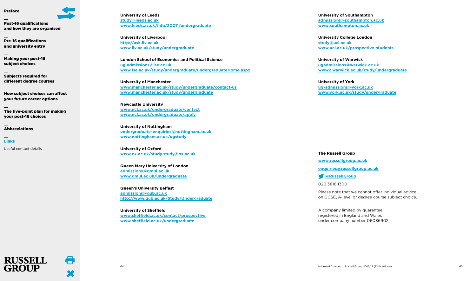

[Post-16 qualifications](#page-5-0) [and how they are organised](#page-5-0)

[Pre-16 qualifications](#page-12-0)  [and university entry](#page-12-0)

[Making your post-16](#page-14-0)  [subject choices](#page-14-0)

[Subjects required for](#page-20-0)  [different degree courses](#page-20-0)

[How subject choices can affect](#page-27-0)  [your future career options](#page-27-0)

[The five-point plan for making](#page-29-0)  [your post-16 choices](#page-29-0)

[Abbreviations](#page-30-0)

[Links](#page-31-0)

[Useful contact details](#page-32-0)

**RUSSELL** 

 $\bf{N}$  TD

**University of Leeds study@leeds.ac.uk www.leeds.ac.uk/info/20011/undergraduate**

**University of Liverpool http://ask.liv.ac.uk www.liv.ac.uk/study/undergraduate**

**London School of Economics and Political Science ug.admissions@lse.ac.uk www.lse.ac.uk/study/undergraduate/undergraduateHome.aspx**

**University of Manchester www.manchester.ac.uk/study/undergraduate/contact-us www.manchester.ac.uk/study/undergraduate**

**Newcastle University www.ncl.ac.uk/undergraduate/contact www.ncl.ac.uk/undergraduate/apply**

**University of Nottingham undergraduate-enquiries@nottingham.ac.uk www.nottingham.ac.uk/ugstudy**

**University of Oxford www.ox.ac.uk/study study@ox.ac.uk**

**Queen Mary University of London admissions@qmul.ac.uk www.qmul.ac.uk/undergraduate**

**Queen's University Belfast admissions@qub.ac.uk http://www.qub.ac.uk/Study/Undergraduate**

**University of Sheffield www.sheffield.ac.uk/contact/prospective www.sheffield.ac.uk/undergraduate**

**University of Southampton admissions@southampton.ac.uk www.southampton.ac.uk**

**University College London study@ucl.ac.uk www.ucl.ac.uk/prospective-students**

**University of Warwick ugadmissions@warwick.ac.uk www2.warwick.ac.uk/study/undergraduate**

**University of York ug-admissions@york.ac.uk www.york.ac.uk/study/undergraduate**

### **The Russell Group**

**www.russellgroup.ac.uk**

**enquiries@russellgroup.ac.uk**

**[@RussellGroup](https://twitter.com/RussellGroup)**

020 3816 1300

Please note that we cannot offer individual advice on GCSE, A-level or degree course subject choice.

A company limited by guarantee, registered in England and Wales under company number 06086902

m